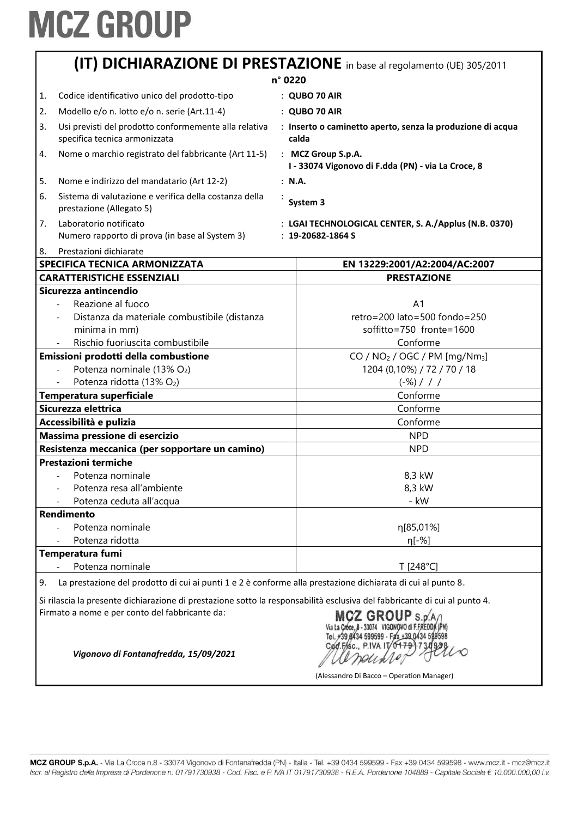| (IT) DICHIARAZIONE DI PRESTAZIONE in base al regolamento (UE) 305/2011                                                    |                                                                                        |  |  |
|---------------------------------------------------------------------------------------------------------------------------|----------------------------------------------------------------------------------------|--|--|
| n° 0220                                                                                                                   |                                                                                        |  |  |
| Codice identificativo unico del prodotto-tipo<br>1.                                                                       | : QUBO 70 AIR                                                                          |  |  |
| Modello e/o n. lotto e/o n. serie (Art.11-4)<br>2.                                                                        | : QUBO 70 AIR                                                                          |  |  |
| Usi previsti del prodotto conformemente alla relativa<br>3.<br>specifica tecnica armonizzata                              | : Inserto o caminetto aperto, senza la produzione di acqua<br>calda                    |  |  |
| Nome o marchio registrato del fabbricante (Art 11-5)<br>4.                                                                | : MCZ Group S.p.A.<br>I - 33074 Vigonovo di F.dda (PN) - via La Croce, 8               |  |  |
| Nome e indirizzo del mandatario (Art 12-2)<br>5.                                                                          | : N.A.                                                                                 |  |  |
| Sistema di valutazione e verifica della costanza della<br>6.<br>prestazione (Allegato 5)                                  | System 3                                                                               |  |  |
| Laboratorio notificato<br>7.<br>Numero rapporto di prova (in base al System 3)                                            | : LGAI TECHNOLOGICAL CENTER, S. A./Applus (N.B. 0370)<br>$: 19 - 20682 - 1864S$        |  |  |
| Prestazioni dichiarate<br>8.                                                                                              |                                                                                        |  |  |
| SPECIFICA TECNICA ARMONIZZATA                                                                                             | EN 13229:2001/A2:2004/AC:2007                                                          |  |  |
| <b>CARATTERISTICHE ESSENZIALI</b><br>Sicurezza antincendio                                                                | <b>PRESTAZIONE</b>                                                                     |  |  |
| Reazione al fuoco<br>Distanza da materiale combustibile (distanza<br>minima in mm)<br>Rischio fuoriuscita combustibile    | A <sub>1</sub><br>retro=200 lato=500 fondo=250<br>soffitto=750 fronte=1600<br>Conforme |  |  |
| Emissioni prodotti della combustione                                                                                      | CO / NO <sub>2</sub> / OGC / PM [mg/Nm <sub>3</sub> ]                                  |  |  |
| Potenza nominale (13% O2)                                                                                                 | 1204 (0,10%) / 72 / 70 / 18                                                            |  |  |
| Potenza ridotta (13% O2)                                                                                                  | $(-\%)$ / / /                                                                          |  |  |
| Temperatura superficiale                                                                                                  | Conforme                                                                               |  |  |
| Sicurezza elettrica                                                                                                       | Conforme                                                                               |  |  |
| Accessibilità e pulizia                                                                                                   | Conforme                                                                               |  |  |
| Massima pressione di esercizio                                                                                            | <b>NPD</b>                                                                             |  |  |
| Resistenza meccanica (per sopportare un camino)                                                                           | <b>NPD</b>                                                                             |  |  |
| <b>Prestazioni termiche</b>                                                                                               |                                                                                        |  |  |
| Potenza nominale                                                                                                          | 8,3 kW                                                                                 |  |  |
| Potenza resa all'ambiente                                                                                                 | 8,3 kW                                                                                 |  |  |
| Potenza ceduta all'acqua                                                                                                  | - kW                                                                                   |  |  |
| Rendimento                                                                                                                |                                                                                        |  |  |
| Potenza nominale                                                                                                          | η[85,01%]                                                                              |  |  |
| Potenza ridotta                                                                                                           | η[-%]                                                                                  |  |  |
| Temperatura fumi                                                                                                          |                                                                                        |  |  |
| Potenza nominale                                                                                                          | T [248°C]                                                                              |  |  |
| La prestazione del prodotto di cui ai punti 1 e 2 è conforme alla prestazione dichiarata di cui al punto 8.<br>9.         |                                                                                        |  |  |
| Si rilascia la presente dichiarazione di prestazione sotto la responsabilità esclusiva del fabbricante di cui al punto 4. |                                                                                        |  |  |

Firmato a nome e per conto del fabbricante da:

LO neuxio

(Alessandro Di Bacco – Operation Manager)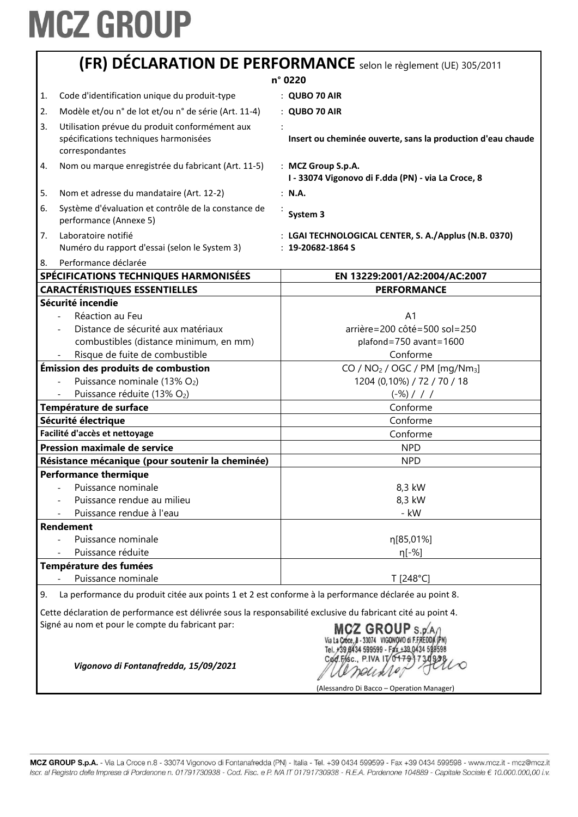|                                                                                                                                                                        | (FR) DÉCLARATION DE PERFORMANCE selon le règlement (UE) 305/2011<br>n° 0220                          |
|------------------------------------------------------------------------------------------------------------------------------------------------------------------------|------------------------------------------------------------------------------------------------------|
|                                                                                                                                                                        |                                                                                                      |
| Code d'identification unique du produit-type<br>1.                                                                                                                     | $:$ QUBO 70 AIR                                                                                      |
| Modèle et/ou n° de lot et/ou n° de série (Art. 11-4)<br>2.                                                                                                             | : QUBO 70 AIR                                                                                        |
| Utilisation prévue du produit conformément aux<br>3.<br>spécifications techniques harmonisées<br>correspondantes                                                       | Insert ou cheminée ouverte, sans la production d'eau chaude                                          |
| Nom ou marque enregistrée du fabricant (Art. 11-5)<br>4.                                                                                                               | : MCZ Group S.p.A.<br>I - 33074 Vigonovo di F.dda (PN) - via La Croce, 8                             |
| 5.<br>Nom et adresse du mandataire (Art. 12-2)                                                                                                                         | : N.A.                                                                                               |
| 6.<br>Système d'évaluation et contrôle de la constance de<br>performance (Annexe 5)                                                                                    | System 3                                                                                             |
| Laboratoire notifié<br>7.<br>Numéro du rapport d'essai (selon le System 3)<br>Performance déclarée<br>8.                                                               | : LGAI TECHNOLOGICAL CENTER, S. A./Applus (N.B. 0370)<br>$: 19 - 20682 - 1864S$                      |
| SPÉCIFICATIONS TECHNIQUES HARMONISÉES                                                                                                                                  | EN 13229:2001/A2:2004/AC:2007                                                                        |
| <b>CARACTÉRISTIQUES ESSENTIELLES</b>                                                                                                                                   | <b>PERFORMANCE</b>                                                                                   |
| Sécurité incendie                                                                                                                                                      |                                                                                                      |
| Réaction au Feu                                                                                                                                                        | A <sub>1</sub>                                                                                       |
| Distance de sécurité aux matériaux                                                                                                                                     | arrière=200 côté=500 sol=250                                                                         |
| combustibles (distance minimum, en mm)                                                                                                                                 | plafond=750 avant=1600                                                                               |
| Risque de fuite de combustible                                                                                                                                         | Conforme                                                                                             |
| Émission des produits de combustion                                                                                                                                    | $CO / NO2 / OGC / PM [mg/Nm3]$                                                                       |
| Puissance nominale (13% O2)                                                                                                                                            | 1204 (0,10%) / 72 / 70 / 18                                                                          |
| Puissance réduite (13% O2)                                                                                                                                             | $(-\%)$ / / /                                                                                        |
| Température de surface                                                                                                                                                 | Conforme                                                                                             |
| Sécurité électrique                                                                                                                                                    | Conforme                                                                                             |
| Facilité d'accès et nettoyage                                                                                                                                          | Conforme                                                                                             |
| Pression maximale de service                                                                                                                                           | <b>NPD</b>                                                                                           |
| Résistance mécanique (pour soutenir la cheminée)                                                                                                                       | <b>NPD</b>                                                                                           |
| <b>Performance thermique</b>                                                                                                                                           |                                                                                                      |
| Puissance nominale                                                                                                                                                     | 8,3 kW                                                                                               |
| Puissance rendue au milieu                                                                                                                                             | 8,3 kW                                                                                               |
| Puissance rendue à l'eau                                                                                                                                               | - kW                                                                                                 |
| <b>Rendement</b>                                                                                                                                                       |                                                                                                      |
| Puissance nominale                                                                                                                                                     | η[85,01%]                                                                                            |
| Puissance réduite                                                                                                                                                      | η[-%]                                                                                                |
| Température des fumées                                                                                                                                                 |                                                                                                      |
| Puissance nominale                                                                                                                                                     | T [248°C]                                                                                            |
|                                                                                                                                                                        |                                                                                                      |
| 9.<br>Cette déclaration de performance est délivrée sous la responsabilité exclusive du fabricant cité au point 4.<br>Signé au nom et pour le compte du fabricant par: | La performance du produit citée aux points 1 et 2 est conforme à la performance déclarée au point 8. |
|                                                                                                                                                                        | MCZ GROUP S.p.An                                                                                     |

Via La Croce, 8 - 33074 VIGONOVO di F.FREDDA (PN)<br>Tel. 739 8434 599599 - Fax +39 0434 599598<br>Cod. Frsc., P.IVA IT 0-17937319398

(Alessandro Di Bacco – Operation Manager)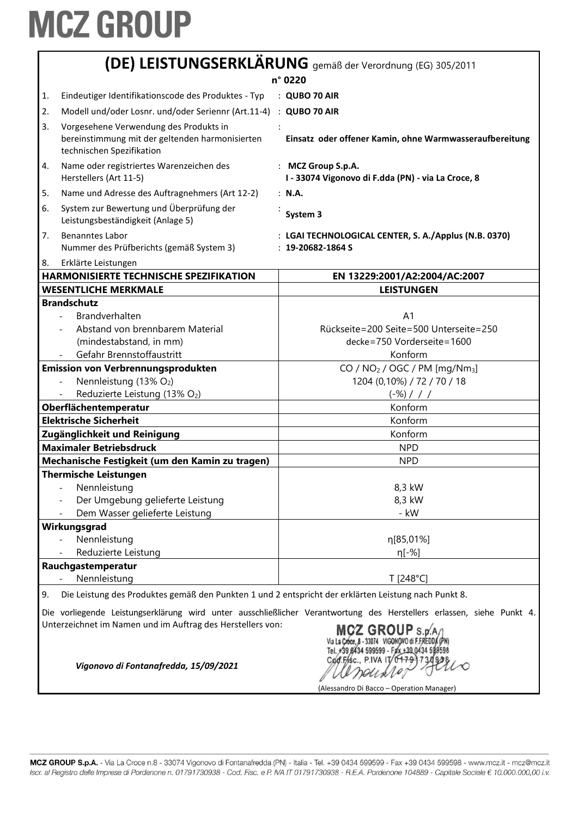| Eindeutiger Identifikationscode des Produktes - Typ<br>1.                                                                                                                                                                                                                                                      | n° 0220                                                                                              |
|----------------------------------------------------------------------------------------------------------------------------------------------------------------------------------------------------------------------------------------------------------------------------------------------------------------|------------------------------------------------------------------------------------------------------|
|                                                                                                                                                                                                                                                                                                                |                                                                                                      |
|                                                                                                                                                                                                                                                                                                                | : QUBO 70 AIR                                                                                        |
| 2.<br>Modell und/oder Losnr. und/oder Seriennr (Art.11-4)                                                                                                                                                                                                                                                      | : QUBO 70 AIR                                                                                        |
| 3.<br>Vorgesehene Verwendung des Produkts in<br>bereinstimmung mit der geltenden harmonisierten<br>technischen Spezifikation                                                                                                                                                                                   | Einsatz oder offener Kamin, ohne Warmwasseraufbereitung                                              |
| 4.<br>Name oder registriertes Warenzeichen des<br>Herstellers (Art 11-5)                                                                                                                                                                                                                                       | : MCZ Group S.p.A.<br>I - 33074 Vigonovo di F.dda (PN) - via La Croce, 8                             |
| Name und Adresse des Auftragnehmers (Art 12-2)<br>5.                                                                                                                                                                                                                                                           | : N.A.                                                                                               |
| System zur Bewertung und Überprüfung der<br>6.<br>Leistungsbeständigkeit (Anlage 5)                                                                                                                                                                                                                            | System 3                                                                                             |
| 7.<br><b>Benanntes Labor</b><br>Nummer des Prüfberichts (gemäß System 3)                                                                                                                                                                                                                                       | : LGAI TECHNOLOGICAL CENTER, S. A./Applus (N.B. 0370)<br>$: 19 - 20682 - 1864S$                      |
| 8.<br>Erklärte Leistungen                                                                                                                                                                                                                                                                                      |                                                                                                      |
| HARMONISIERTE TECHNISCHE SPEZIFIKATION                                                                                                                                                                                                                                                                         | EN 13229:2001/A2:2004/AC:2007                                                                        |
| <b>WESENTLICHE MERKMALE</b>                                                                                                                                                                                                                                                                                    | <b>LEISTUNGEN</b>                                                                                    |
| <b>Brandschutz</b><br>Brandverhalten<br>Abstand von brennbarem Material<br>(mindestabstand, in mm)                                                                                                                                                                                                             | A <sub>1</sub><br>Rückseite=200 Seite=500 Unterseite=250<br>decke=750 Vorderseite=1600               |
| Gefahr Brennstoffaustritt                                                                                                                                                                                                                                                                                      | Konform                                                                                              |
| <b>Emission von Verbrennungsprodukten</b>                                                                                                                                                                                                                                                                      | CO / NO <sub>2</sub> / OGC / PM [mg/Nm <sub>3</sub> ]                                                |
| Nennleistung (13% O2)                                                                                                                                                                                                                                                                                          | 1204 (0,10%) / 72 / 70 / 18                                                                          |
| Reduzierte Leistung (13% O2)                                                                                                                                                                                                                                                                                   | $(-\%)$ / / /<br>Konform                                                                             |
| Oberflächentemperatur<br><b>Elektrische Sicherheit</b>                                                                                                                                                                                                                                                         | Konform                                                                                              |
| Zugänglichkeit und Reinigung                                                                                                                                                                                                                                                                                   | Konform                                                                                              |
| <b>Maximaler Betriebsdruck</b>                                                                                                                                                                                                                                                                                 | <b>NPD</b>                                                                                           |
| Mechanische Festigkeit (um den Kamin zu tragen)                                                                                                                                                                                                                                                                | <b>NPD</b>                                                                                           |
| <b>Thermische Leistungen</b>                                                                                                                                                                                                                                                                                   |                                                                                                      |
| Nennleistung<br>Der Umgebung gelieferte Leistung<br>Dem Wasser gelieferte Leistung                                                                                                                                                                                                                             | 8,3 kW<br>8,3 kW<br>- kW                                                                             |
| Wirkungsgrad                                                                                                                                                                                                                                                                                                   |                                                                                                      |
| Nennleistung<br>Reduzierte Leistung                                                                                                                                                                                                                                                                            | η[85,01%]<br>$\eta$ [-%]                                                                             |
| Rauchgastemperatur                                                                                                                                                                                                                                                                                             |                                                                                                      |
| Nennleistung                                                                                                                                                                                                                                                                                                   | T [248°C]                                                                                            |
| 9.                                                                                                                                                                                                                                                                                                             | Die Leistung des Produktes gemäß den Punkten 1 und 2 entspricht der erklärten Leistung nach Punkt 8. |
| Die vorliegende Leistungserklärung wird unter ausschließlicher Verantwortung des Herstellers erlassen, siehe Punkt 4.<br>Unterzeichnet im Namen und im Auftrag des Herstellers von:<br>MCZ GROUP S.D.<br>39 8434 599599 - Fax +39 0434 5<br>Cod.Fisc., P.IVA IT/04791<br>Vigonovo di Fontanafredda, 15/09/2021 |                                                                                                      |

(Alessandro Di Bacco - Operation Manager)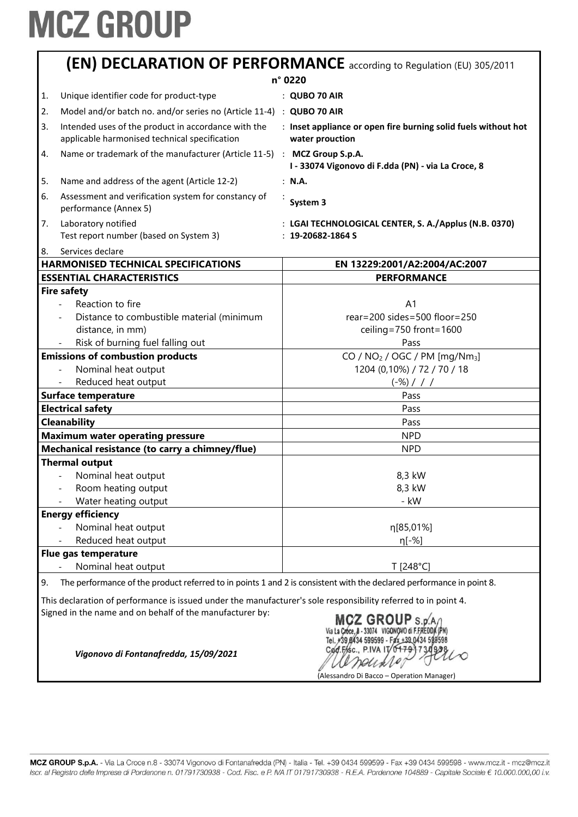|    |                                                                                                      | n° 0220                                                                           |
|----|------------------------------------------------------------------------------------------------------|-----------------------------------------------------------------------------------|
| 1. | Unique identifier code for product-type                                                              | $:$ QUBO 70 AIR                                                                   |
| 2. | Model and/or batch no. and/or series no (Article 11-4) : QUBO 70 AIR                                 |                                                                                   |
| 3. | Intended uses of the product in accordance with the<br>applicable harmonised technical specification | : Inset appliance or open fire burning solid fuels without hot<br>water prouction |
| 4. | Name or trademark of the manufacturer (Article 11-5) : MCZ Group S.p.A.                              | I - 33074 Vigonovo di F.dda (PN) - via La Croce, 8                                |
| 5. | Name and address of the agent (Article 12-2)                                                         | : N.A.                                                                            |
| 6. | Assessment and verification system for constancy of<br>performance (Annex 5)                         | System 3                                                                          |
| 7. | Laboratory notified<br>Test report number (based on System 3)                                        | : LGAI TECHNOLOGICAL CENTER, S. A./Applus (N.B. 0370)<br>$: 19 - 20682 - 1864S$   |
| 8. | Services declare                                                                                     |                                                                                   |
|    | <b>HARMONISED TECHNICAL SPECIFICATIONS</b><br><b>ESSENTIAL CHARACTERISTICS</b>                       | EN 13229:2001/A2:2004/AC:2007<br><b>PERFORMANCE</b>                               |
|    | <b>Fire safety</b>                                                                                   |                                                                                   |
|    | Reaction to fire                                                                                     | A <sub>1</sub>                                                                    |
|    | Distance to combustible material (minimum                                                            | $rear = 200 sides = 500 floor = 250$                                              |
|    | distance, in mm)                                                                                     | ceiling=750 front=1600                                                            |
|    | Risk of burning fuel falling out                                                                     | Pass                                                                              |
|    | <b>Emissions of combustion products</b>                                                              | CO / NO <sub>2</sub> / OGC / PM [mg/Nm <sub>3</sub> ]                             |
|    |                                                                                                      |                                                                                   |
|    |                                                                                                      |                                                                                   |
|    | Nominal heat output                                                                                  | 1204 (0,10%) / 72 / 70 / 18                                                       |
|    | Reduced heat output                                                                                  | $(-\%)$ / / /                                                                     |
|    | <b>Surface temperature</b>                                                                           | Pass                                                                              |
|    | <b>Electrical safety</b>                                                                             | Pass                                                                              |
|    | <b>Cleanability</b>                                                                                  | Pass                                                                              |
|    | <b>Maximum water operating pressure</b>                                                              | <b>NPD</b>                                                                        |
|    | Mechanical resistance (to carry a chimney/flue)                                                      | <b>NPD</b>                                                                        |
|    | <b>Thermal output</b>                                                                                |                                                                                   |
|    | Nominal heat output                                                                                  | 8,3 kW                                                                            |
|    | Room heating output                                                                                  | 8,3 kW                                                                            |
|    | Water heating output                                                                                 | - kW                                                                              |
|    | <b>Energy efficiency</b>                                                                             |                                                                                   |
|    | Nominal heat output                                                                                  | η[85,01%]                                                                         |
|    | Reduced heat output                                                                                  | $n[-%]$                                                                           |
|    | Flue gas temperature<br>Nominal heat output                                                          | T [248°C]                                                                         |

Signed in the name and on behalf of the manufacturer by:

MCZ GROUP S.p. A /<br>Via La Croce, 8 - 33074 VIGONOVO di F.FREDDA (PN)<br>Tel. +39.0434 599599 - Fax +39.0434 599598 Cod.Fisc., P.IVA IT 04791730928 essente

(Alessandro Di Bacco – Operation Manager)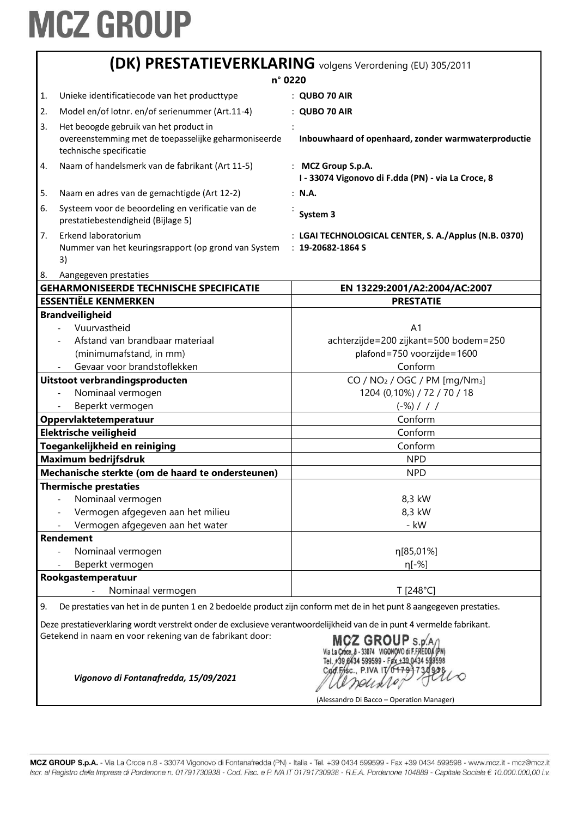|                                                                                                                           | (DK) PRESTATIEVERKLARING volgens Verordening (EU) 305/2011                                                                                                                         |                                                                                                         |  |
|---------------------------------------------------------------------------------------------------------------------------|------------------------------------------------------------------------------------------------------------------------------------------------------------------------------------|---------------------------------------------------------------------------------------------------------|--|
| n° 0220                                                                                                                   |                                                                                                                                                                                    |                                                                                                         |  |
| 1.                                                                                                                        | Unieke identificatiecode van het producttype                                                                                                                                       | : QUBO 70 AIR                                                                                           |  |
| 2.                                                                                                                        | Model en/of lotnr. en/of serienummer (Art.11-4)                                                                                                                                    | <b>QUBO 70 AIR</b>                                                                                      |  |
| 3.                                                                                                                        | Het beoogde gebruik van het product in                                                                                                                                             |                                                                                                         |  |
|                                                                                                                           | overeenstemming met de toepasselijke geharmoniseerde<br>technische specificatie                                                                                                    | Inbouwhaard of openhaard, zonder warmwaterproductie                                                     |  |
| 4.                                                                                                                        | Naam of handelsmerk van de fabrikant (Art 11-5)                                                                                                                                    | : MCZ Group S.p.A.<br>I - 33074 Vigonovo di F.dda (PN) - via La Croce, 8                                |  |
| 5.                                                                                                                        | Naam en adres van de gemachtigde (Art 12-2)                                                                                                                                        | : N.A.                                                                                                  |  |
| 6.                                                                                                                        | Systeem voor de beoordeling en verificatie van de<br>prestatiebestendigheid (Bijlage 5)                                                                                            | System 3                                                                                                |  |
| 7.                                                                                                                        | Erkend laboratorium<br>Nummer van het keuringsrapport (op grond van System<br>3)                                                                                                   | : LGAI TECHNOLOGICAL CENTER, S. A./Applus (N.B. 0370)<br>$: 19 - 20682 - 1864S$                         |  |
| 8.                                                                                                                        | Aangegeven prestaties                                                                                                                                                              |                                                                                                         |  |
|                                                                                                                           | <b>GEHARMONISEERDE TECHNISCHE SPECIFICATIE</b>                                                                                                                                     | EN 13229:2001/A2:2004/AC:2007                                                                           |  |
|                                                                                                                           | <b>ESSENTIËLE KENMERKEN</b>                                                                                                                                                        | <b>PRESTATIE</b>                                                                                        |  |
|                                                                                                                           | <b>Brandveiligheid</b>                                                                                                                                                             |                                                                                                         |  |
|                                                                                                                           | Vuurvastheid                                                                                                                                                                       | A <sub>1</sub>                                                                                          |  |
|                                                                                                                           | Afstand van brandbaar materiaal                                                                                                                                                    | achterzijde=200 zijkant=500 bodem=250                                                                   |  |
|                                                                                                                           | (minimumafstand, in mm)                                                                                                                                                            | plafond=750 voorzijde=1600                                                                              |  |
|                                                                                                                           | Gevaar voor brandstoflekken                                                                                                                                                        | Conform                                                                                                 |  |
|                                                                                                                           | Uitstoot verbrandingsproducten                                                                                                                                                     | CO / NO <sub>2</sub> / OGC / PM [mg/Nm <sub>3</sub> ]                                                   |  |
|                                                                                                                           | Nominaal vermogen                                                                                                                                                                  | 1204 (0,10%) / 72 / 70 / 18                                                                             |  |
|                                                                                                                           | Beperkt vermogen                                                                                                                                                                   | $(-\%)$ / / /                                                                                           |  |
|                                                                                                                           | Oppervlaktetemperatuur                                                                                                                                                             | Conform                                                                                                 |  |
|                                                                                                                           | Elektrische veiligheid                                                                                                                                                             | Conform                                                                                                 |  |
|                                                                                                                           | Toegankelijkheid en reiniging                                                                                                                                                      | Conform                                                                                                 |  |
|                                                                                                                           | <b>Maximum bedrijfsdruk</b>                                                                                                                                                        | <b>NPD</b>                                                                                              |  |
|                                                                                                                           | Mechanische sterkte (om de haard te ondersteunen)                                                                                                                                  | <b>NPD</b>                                                                                              |  |
|                                                                                                                           | <b>Thermische prestaties</b>                                                                                                                                                       |                                                                                                         |  |
|                                                                                                                           | Nominaal vermogen                                                                                                                                                                  | 8,3 kW                                                                                                  |  |
|                                                                                                                           | Vermogen afgegeven aan het milieu                                                                                                                                                  | 8,3 kW                                                                                                  |  |
|                                                                                                                           | Vermogen afgegeven aan het water                                                                                                                                                   | - kW                                                                                                    |  |
|                                                                                                                           | <b>Rendement</b>                                                                                                                                                                   |                                                                                                         |  |
|                                                                                                                           | Nominaal vermogen                                                                                                                                                                  | η[85,01%]                                                                                               |  |
|                                                                                                                           | Beperkt vermogen                                                                                                                                                                   | η[-%]                                                                                                   |  |
|                                                                                                                           | Rookgastemperatuur<br>Nominaal vermogen<br>$\overline{a}$                                                                                                                          | T [248°C]                                                                                               |  |
|                                                                                                                           |                                                                                                                                                                                    |                                                                                                         |  |
| De prestaties van het in de punten 1 en 2 bedoelde product zijn conform met de in het punt 8 aangegeven prestaties.<br>9. |                                                                                                                                                                                    |                                                                                                         |  |
|                                                                                                                           | Deze prestatieverklaring wordt verstrekt onder de exclusieve verantwoordelijkheid van de in punt 4 vermelde fabrikant.<br>Getekend in naam en voor rekening van de fabrikant door: | <b>MCZ GROUP</b>                                                                                        |  |
|                                                                                                                           | Vigonovo di Fontanafredda, 15/09/2021                                                                                                                                              | 599599 - Fax +39 0434 5995<br>Cad.Fisc., P.IVA IT/01791730<br>(Alessandro Di Bacco - Operation Manager) |  |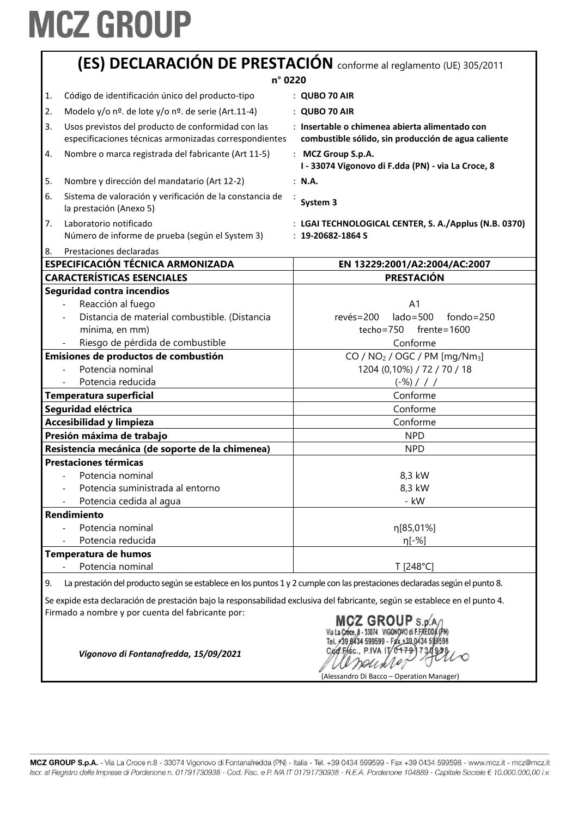| (ES) DECLARACIÓN DE PRESTACIÓN conforme al reglamento (UE) 305/2011                                                                                                                                                                                              |                                                                                                       |  |
|------------------------------------------------------------------------------------------------------------------------------------------------------------------------------------------------------------------------------------------------------------------|-------------------------------------------------------------------------------------------------------|--|
| n° 0220                                                                                                                                                                                                                                                          |                                                                                                       |  |
| Código de identificación único del producto-tipo<br>1.                                                                                                                                                                                                           | $:$ QUBO 70 AIR                                                                                       |  |
| Modelo y/o nº. de lote y/o nº. de serie (Art.11-4)<br>2.                                                                                                                                                                                                         | : QUBO 70 AIR                                                                                         |  |
| 3.<br>Usos previstos del producto de conformidad con las<br>especificaciones técnicas armonizadas correspondientes                                                                                                                                               | : Insertable o chimenea abierta alimentado con<br>combustible sólido, sin producción de agua caliente |  |
| Nombre o marca registrada del fabricante (Art 11-5)<br>4.                                                                                                                                                                                                        | : MCZ Group S.p.A.<br>I - 33074 Vigonovo di F.dda (PN) - via La Croce, 8                              |  |
| Nombre y dirección del mandatario (Art 12-2)<br>5.                                                                                                                                                                                                               | : N.A.                                                                                                |  |
| Sistema de valoración y verificación de la constancia de<br>6.<br>la prestación (Anexo 5)                                                                                                                                                                        | System 3                                                                                              |  |
| Laboratorio notificado<br>7.<br>Número de informe de prueba (según el System 3)<br>Prestaciones declaradas                                                                                                                                                       | : LGAI TECHNOLOGICAL CENTER, S. A./Applus (N.B. 0370)<br>$: 19 - 20682 - 1864S$                       |  |
| 8.<br><b>ESPECIFICACIÓN TÉCNICA ARMONIZADA</b>                                                                                                                                                                                                                   | EN 13229:2001/A2:2004/AC:2007                                                                         |  |
| <b>CARACTERÍSTICAS ESENCIALES</b>                                                                                                                                                                                                                                | <b>PRESTACIÓN</b>                                                                                     |  |
| Seguridad contra incendios                                                                                                                                                                                                                                       |                                                                                                       |  |
| Reacción al fuego                                                                                                                                                                                                                                                | A <sub>1</sub>                                                                                        |  |
| Distancia de material combustible. (Distancia                                                                                                                                                                                                                    | $lado = 500$<br>$fondo = 250$<br>$rev\acute{e}s = 200$                                                |  |
| mínima, en mm)                                                                                                                                                                                                                                                   | techo=750<br>$f$ rente=1600                                                                           |  |
| Riesgo de pérdida de combustible                                                                                                                                                                                                                                 | Conforme                                                                                              |  |
| Emisiones de productos de combustión                                                                                                                                                                                                                             | $CO / NO2 / OGC / PM [mg/Nm3]$                                                                        |  |
| Potencia nominal                                                                                                                                                                                                                                                 | 1204 (0,10%) / 72 / 70 / 18                                                                           |  |
| Potencia reducida                                                                                                                                                                                                                                                | $(-\%)$ / / /                                                                                         |  |
| Temperatura superficial                                                                                                                                                                                                                                          | Conforme                                                                                              |  |
| Seguridad eléctrica                                                                                                                                                                                                                                              | Conforme                                                                                              |  |
| <b>Accesibilidad y limpieza</b>                                                                                                                                                                                                                                  | Conforme                                                                                              |  |
| Presión máxima de trabajo                                                                                                                                                                                                                                        | <b>NPD</b>                                                                                            |  |
| Resistencia mecánica (de soporte de la chimenea)                                                                                                                                                                                                                 | <b>NPD</b>                                                                                            |  |
| <b>Prestaciones térmicas</b>                                                                                                                                                                                                                                     |                                                                                                       |  |
| Potencia nominal                                                                                                                                                                                                                                                 | 8,3 kW                                                                                                |  |
| Potencia suministrada al entorno                                                                                                                                                                                                                                 | 8,3 kW                                                                                                |  |
| Potencia cedida al agua                                                                                                                                                                                                                                          | - kW                                                                                                  |  |
| Rendimiento                                                                                                                                                                                                                                                      |                                                                                                       |  |
| Potencia nominal                                                                                                                                                                                                                                                 | η[85,01%]                                                                                             |  |
| Potencia reducida                                                                                                                                                                                                                                                | η[-%]                                                                                                 |  |
| Temperatura de humos                                                                                                                                                                                                                                             |                                                                                                       |  |
| Potencia nominal                                                                                                                                                                                                                                                 | T [248°C]                                                                                             |  |
| La prestación del producto según se establece en los puntos 1 y 2 cumple con las prestaciones declaradas según el punto 8.<br>9.<br>Se expide esta declaración de prestación bajo la responsabilidad exclusiva del fabricante, según se establece en el punto 4. |                                                                                                       |  |

Firmado a nombre y por cuenta del fabricante por:

MCZ GROUP S.p/A/<br>Via La Croce, 8 - 33074 VIGONOVO di F.FREDDA (PN)<br>Tel. +39 8434 599599 - Fax +39 0434 599598 Cod.Fisc., P.IVA IT We seule (Alessandro Di Bacco – Operation Manager)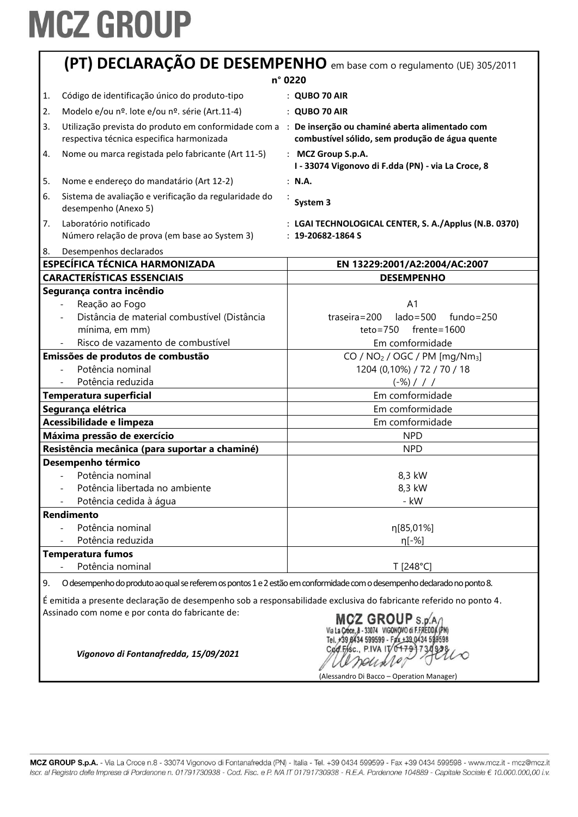|    | (PT) DECLARAÇÃO DE DESEMPENHO em base com o regulamento (UE) 305/2011                                                                                                                                                                         |                                                                                                                          |
|----|-----------------------------------------------------------------------------------------------------------------------------------------------------------------------------------------------------------------------------------------------|--------------------------------------------------------------------------------------------------------------------------|
|    | n° 0220                                                                                                                                                                                                                                       |                                                                                                                          |
| 1. | Código de identificação único do produto-tipo                                                                                                                                                                                                 | : QUBO 70 AIR                                                                                                            |
| 2. | Modelo e/ou nº. lote e/ou nº. série (Art.11-4)                                                                                                                                                                                                | : QUBO 70 AIR                                                                                                            |
| 3. | Utilização prevista do produto em conformidade com a : De inserção ou chaminé aberta alimentado com<br>respectiva técnica especifica harmonizada                                                                                              | combustível sólido, sem produção de água quente                                                                          |
| 4. | Nome ou marca registada pelo fabricante (Art 11-5)                                                                                                                                                                                            | : MCZ Group S.p.A.<br>I - 33074 Vigonovo di F.dda (PN) - via La Croce, 8                                                 |
| 5. | Nome e endereço do mandatário (Art 12-2)                                                                                                                                                                                                      | : N.A.                                                                                                                   |
| 6. | Sistema de avaliação e verificação da regularidade do<br>desempenho (Anexo 5)                                                                                                                                                                 | System 3                                                                                                                 |
| 7. | Laboratório notificado<br>Número relação de prova (em base ao System 3)                                                                                                                                                                       | : LGAI TECHNOLOGICAL CENTER, S. A./Applus (N.B. 0370)<br>$: 19 - 20682 - 1864S$                                          |
| 8. | Desempenhos declarados                                                                                                                                                                                                                        |                                                                                                                          |
|    | <b>ESPECÍFICA TÉCNICA HARMONIZADA</b>                                                                                                                                                                                                         | EN 13229:2001/A2:2004/AC:2007                                                                                            |
|    | <b>CARACTERÍSTICAS ESSENCIAIS</b>                                                                                                                                                                                                             | <b>DESEMPENHO</b>                                                                                                        |
|    | Segurança contra incêndio<br>Reação ao Fogo<br>Distância de material combustível (Distância<br>mínima, em mm)<br>Risco de vazamento de combustível                                                                                            | A <sub>1</sub><br>$lado = 500$<br>$fundo = 250$<br>$traseira = 200$<br>$teto = 750$<br>$f$ rente=1600<br>Em comformidade |
|    | Emissões de produtos de combustão                                                                                                                                                                                                             | CO / $NO2$ / OGC / PM [mg/Nm <sub>3</sub> ]                                                                              |
|    | Potência nominal                                                                                                                                                                                                                              | 1204 (0,10%) / 72 / 70 / 18                                                                                              |
|    | Potência reduzida                                                                                                                                                                                                                             | $(-\%)$ / / /                                                                                                            |
|    | Temperatura superficial                                                                                                                                                                                                                       | Em comformidade                                                                                                          |
|    | Segurança elétrica                                                                                                                                                                                                                            | Em comformidade                                                                                                          |
|    | Acessibilidade e limpeza                                                                                                                                                                                                                      | Em comformidade                                                                                                          |
|    | Máxima pressão de exercício                                                                                                                                                                                                                   | <b>NPD</b>                                                                                                               |
|    | Resistência mecânica (para suportar a chaminé)                                                                                                                                                                                                | <b>NPD</b>                                                                                                               |
|    | Desempenho térmico<br>Potência nominal<br>Potência libertada no ambiente<br>Potência cedida à água                                                                                                                                            | 8,3 kW<br>8,3 kW<br>- kW                                                                                                 |
|    | Rendimento                                                                                                                                                                                                                                    |                                                                                                                          |
|    | Potência nominal                                                                                                                                                                                                                              | η[85,01%]                                                                                                                |
|    | Potência reduzida                                                                                                                                                                                                                             | η[-%]                                                                                                                    |
|    | <b>Temperatura fumos</b>                                                                                                                                                                                                                      |                                                                                                                          |
|    | Potência nominal                                                                                                                                                                                                                              | T [248°C]                                                                                                                |
| 9. | O desempenho do produto ao qual se referem os pontos 1 e 2 estão em conformidade com o desempenho declarado no ponto 8.                                                                                                                       |                                                                                                                          |
|    | É emitida a presente declaração de desempenho sob a responsabilidade exclusiva do fabricante referido no ponto 4.<br>Assinado com nome e por conta do fabricante de:<br>MCZ GROUP S.p.A/<br>Via La Croce, B - 33074 VIGONOVO di F.FREDDA (PN) |                                                                                                                          |

Tel. +39 6434 599599 - F4 +39 0434 599598<br>Cod. F6sc., P.IVA IT 0479 730 9298  $\infty$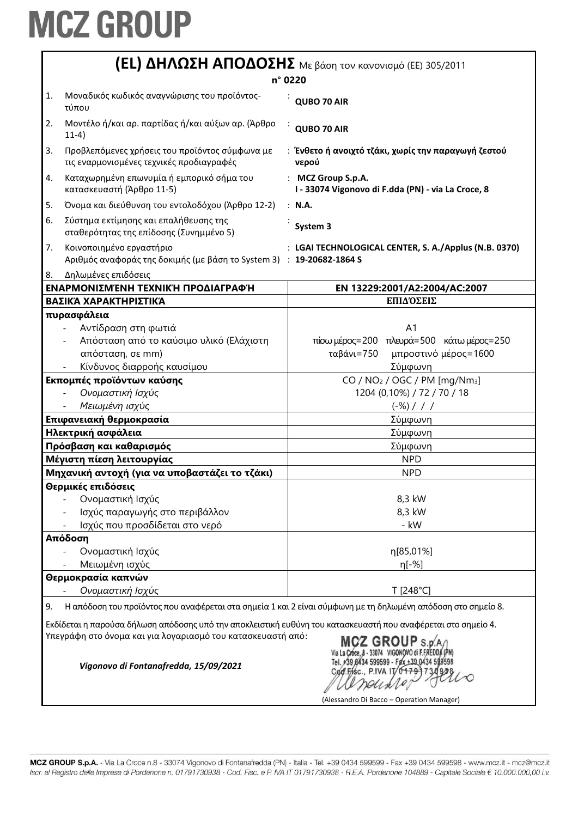|    | <b>(EL) ΔΗΛΩΣΗ ΑΠΟΔΟΣΗΣ</b> Με βάση τον κανονισμό (ΕΕ) 305/2011                                               |                                                                          |  |
|----|---------------------------------------------------------------------------------------------------------------|--------------------------------------------------------------------------|--|
|    | n° 0220                                                                                                       |                                                                          |  |
| 1. | Μοναδικός κωδικός αναγνώρισης του προϊόντος-<br>τύπου                                                         | QUBO 70 AIR                                                              |  |
| 2. | Μοντέλο ή/και αρ. παρτίδας ή/και αύξων αρ. (Άρθρο<br>$11-4)$                                                  | QUBO 70 AIR                                                              |  |
| 3. | Προβλεπόμενες χρήσεις του προϊόντος σύμφωνα με<br>τις εναρμονισμένες τεχνικές προδιαγραφές                    | : Ένθετο ή ανοιχτό τζάκι, χωρίς την παραγωγή ζεστού<br>νερού             |  |
| 4. | Καταχωρημένη επωνυμία ή εμπορικό σήμα του<br>κατασκευαστή (Άρθρο 11-5)                                        | : MCZ Group S.p.A.<br>I - 33074 Vigonovo di F.dda (PN) - via La Croce, 8 |  |
| 5. | Όνομα και διεύθυνση του εντολοδόχου (Άρθρο 12-2)                                                              | : N.A.                                                                   |  |
| 6. | Σύστημα εκτίμησης και επαλήθευσης της<br>σταθερότητας της επίδοσης (Συνημμένο 5)                              | System 3                                                                 |  |
| 7. | Κοινοποιημένο εργαστήριο<br>Αριθμός αναφοράς της δοκιμής (με βάση το System 3) : 19-20682-1864 S              | : LGAI TECHNOLOGICAL CENTER, S. A./Applus (N.B. 0370)                    |  |
| 8. | Δηλωμένες επιδόσεις                                                                                           |                                                                          |  |
|    | ΕΝΑΡΜΟΝΙΣΜΈΝΗ ΤΕΧΝΙΚΉ ΠΡΟΔΙΑΓΡΑΦΉ                                                                             | EN 13229:2001/A2:2004/AC:2007                                            |  |
|    | ΒΑΣΙΚΆ ΧΑΡΑΚΤΗΡΙΣΤΙΚΆ                                                                                         | ΕΠΙΔΌΣΕΙΣ                                                                |  |
|    | πυρασφάλεια                                                                                                   |                                                                          |  |
|    | Αντίδραση στη φωτιά                                                                                           | A <sub>1</sub>                                                           |  |
|    | Απόσταση από το καύσιμο υλικό (Ελάχιστη                                                                       | πίσω μέρος=200 πλευρά=500 κάτω μέρος=250                                 |  |
|    | απόσταση, σε mm)                                                                                              | ταβάνι=750<br>μπροστινό μέρος=1600                                       |  |
|    | Κίνδυνος διαρροής καυσίμου                                                                                    | Σύμφωνη                                                                  |  |
|    | Εκπομπές προϊόντων καύσης                                                                                     | CO / $NO2$ / OGC / PM [mg/Nm <sub>3</sub> ]                              |  |
|    | Ονομαστική Ισχύς                                                                                              | 1204 (0,10%) / 72 / 70 / 18                                              |  |
|    | Μειωμένη ισχύς                                                                                                | $(-\%)$ / / /                                                            |  |
|    | Επιφανειακή θερμοκρασία                                                                                       | Σύμφωνη                                                                  |  |
|    | Ηλεκτρική ασφάλεια                                                                                            | Σύμφωνη                                                                  |  |
|    | Πρόσβαση και καθαρισμός                                                                                       | Σύμφωνη                                                                  |  |
|    | Μέγιστη πίεση λειτουργίας                                                                                     | <b>NPD</b>                                                               |  |
|    | Μηχανική αντοχή (για να υποβαστάζει το τζάκι)                                                                 | <b>NPD</b>                                                               |  |
|    | Θερμικές επιδόσεις                                                                                            |                                                                          |  |
|    | Ονομαστική Ισχύς                                                                                              | 8,3 kW                                                                   |  |
|    | Ισχύς παραγωγής στο περιβάλλον                                                                                | 8,3 kW<br>- kW                                                           |  |
|    | Ισχύς που προσδίδεται στο νερό<br>Απόδοση                                                                     |                                                                          |  |
|    | Ονομαστική Ισχύς                                                                                              | η[85,01%]                                                                |  |
|    | Μειωμένη ισχύς                                                                                                | $n[-%]$                                                                  |  |
|    | Θερμοκρασία καπνών                                                                                            |                                                                          |  |
|    | Ονομαστική Ισχύς                                                                                              | T [248°C]                                                                |  |
| 9. | Η απόδοση του προϊόντος που αναφέρεται στα σημεία 1 και 2 είναι σύμφωνη με τη δηλωμένη απόδοση στο σημείο 8.  |                                                                          |  |
|    |                                                                                                               |                                                                          |  |
|    | Εκδίδεται η παρούσα δήλωση απόδοσης υπό την αποκλειστική ευθύνη του κατασκευαστή που αναφέρεται στο σημείο 4. |                                                                          |  |
|    | Υπεγράφη στο όνομα και για λογαριασμό του κατασκευαστή από:<br>Vigonovo di Fontanafredda, 15/09/2021          | CZ GROUP S.D.A<br>599599 - Fax +39 0434 59<br>Cod.Fisc., P.IVA IT/0479   |  |
|    |                                                                                                               | (Alessandro Di Bacco - Operation Manager)                                |  |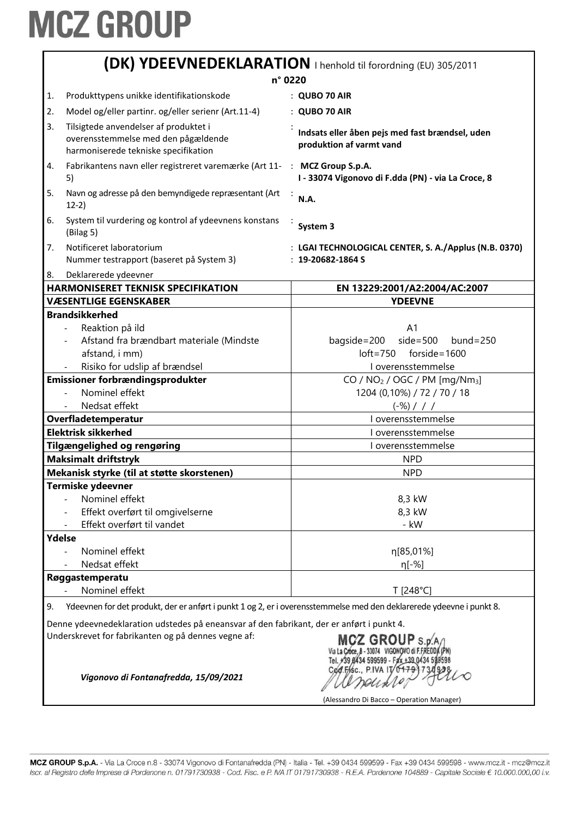|                                                                                                                                                                                                                                                                                                                                | (DK) YDEEVNEDEKLARATION   henhold til forordning (EU) 305/2011                                                       |                                                                                                                  |  |
|--------------------------------------------------------------------------------------------------------------------------------------------------------------------------------------------------------------------------------------------------------------------------------------------------------------------------------|----------------------------------------------------------------------------------------------------------------------|------------------------------------------------------------------------------------------------------------------|--|
| n° 0220                                                                                                                                                                                                                                                                                                                        |                                                                                                                      |                                                                                                                  |  |
| 1.                                                                                                                                                                                                                                                                                                                             | Produkttypens unikke identifikationskode                                                                             | : QUBO 70 AIR                                                                                                    |  |
| 2.                                                                                                                                                                                                                                                                                                                             | Model og/eller partinr. og/eller serienr (Art.11-4)                                                                  | : QUBO 70 AIR                                                                                                    |  |
| 3.                                                                                                                                                                                                                                                                                                                             | Tilsigtede anvendelser af produktet i<br>overensstemmelse med den pågældende<br>harmoniserede tekniske specifikation | Indsats eller åben pejs med fast brændsel, uden<br>produktion af varmt vand                                      |  |
| 4.                                                                                                                                                                                                                                                                                                                             | Fabrikantens navn eller registreret varemærke (Art 11- : MCZ Group S.p.A.<br>5)                                      | I - 33074 Vigonovo di F.dda (PN) - via La Croce, 8                                                               |  |
| 5.                                                                                                                                                                                                                                                                                                                             | Navn og adresse på den bemyndigede repræsentant (Art<br>$12-2)$                                                      | <b>N.A.</b>                                                                                                      |  |
| 6.                                                                                                                                                                                                                                                                                                                             | System til vurdering og kontrol af ydeevnens konstans<br>(Bilag 5)                                                   | System 3                                                                                                         |  |
| 7.                                                                                                                                                                                                                                                                                                                             | Notificeret laboratorium<br>Nummer testrapport (baseret på System 3)                                                 | : LGAI TECHNOLOGICAL CENTER, S. A./Applus (N.B. 0370)<br>$: 19 - 20682 - 1864S$                                  |  |
| 8.                                                                                                                                                                                                                                                                                                                             | Deklarerede ydeevner<br><b>HARMONISERET TEKNISK SPECIFIKATION</b>                                                    |                                                                                                                  |  |
|                                                                                                                                                                                                                                                                                                                                | <b>VÆSENTLIGE EGENSKABER</b>                                                                                         | EN 13229:2001/A2:2004/AC:2007<br><b>YDEEVNE</b>                                                                  |  |
|                                                                                                                                                                                                                                                                                                                                | <b>Brandsikkerhed</b>                                                                                                |                                                                                                                  |  |
|                                                                                                                                                                                                                                                                                                                                | Reaktion på ild<br>Afstand fra brændbart materiale (Mindste<br>afstand, i mm)<br>Risiko for udslip af brændsel       | A <sub>1</sub><br>$side=500$<br>bagside=200<br>$bund = 250$<br>$loft = 750$ forside = 1600<br>I overensstemmelse |  |
|                                                                                                                                                                                                                                                                                                                                | Emissioner forbrændingsprodukter                                                                                     | CO / $NO2$ / OGC / PM [mg/Nm <sub>3</sub> ]                                                                      |  |
|                                                                                                                                                                                                                                                                                                                                | Nominel effekt                                                                                                       | 1204 (0,10%) / 72 / 70 / 18                                                                                      |  |
|                                                                                                                                                                                                                                                                                                                                | Nedsat effekt                                                                                                        | $(-\%)$ / / /                                                                                                    |  |
|                                                                                                                                                                                                                                                                                                                                | Overfladetemperatur<br>I overensstemmelse                                                                            |                                                                                                                  |  |
|                                                                                                                                                                                                                                                                                                                                | <b>Elektrisk sikkerhed</b>                                                                                           | I overensstemmelse                                                                                               |  |
|                                                                                                                                                                                                                                                                                                                                | Tilgængelighed og rengøring                                                                                          | I overensstemmelse                                                                                               |  |
|                                                                                                                                                                                                                                                                                                                                | <b>Maksimalt driftstryk</b>                                                                                          | <b>NPD</b>                                                                                                       |  |
|                                                                                                                                                                                                                                                                                                                                | Mekanisk styrke (til at støtte skorstenen)                                                                           | <b>NPD</b>                                                                                                       |  |
|                                                                                                                                                                                                                                                                                                                                | Termiske ydeevner                                                                                                    |                                                                                                                  |  |
|                                                                                                                                                                                                                                                                                                                                | Nominel effekt                                                                                                       | 8,3 kW                                                                                                           |  |
|                                                                                                                                                                                                                                                                                                                                | Effekt overført til omgivelserne                                                                                     | 8,3 kW                                                                                                           |  |
|                                                                                                                                                                                                                                                                                                                                | Effekt overført til vandet                                                                                           | - kW                                                                                                             |  |
| Ydelse                                                                                                                                                                                                                                                                                                                         |                                                                                                                      |                                                                                                                  |  |
|                                                                                                                                                                                                                                                                                                                                | Nominel effekt                                                                                                       | η[85,01%]                                                                                                        |  |
|                                                                                                                                                                                                                                                                                                                                | Nedsat effekt                                                                                                        | η[-%]                                                                                                            |  |
|                                                                                                                                                                                                                                                                                                                                | Røggastemperatu                                                                                                      |                                                                                                                  |  |
|                                                                                                                                                                                                                                                                                                                                | Nominel effekt                                                                                                       | T [248°C]                                                                                                        |  |
| Ydeevnen for det produkt, der er anført i punkt 1 og 2, er i overensstemmelse med den deklarerede ydeevne i punkt 8.<br>9.                                                                                                                                                                                                     |                                                                                                                      |                                                                                                                  |  |
| Denne ydeevnedeklaration udstedes på eneansvar af den fabrikant, der er anført i punkt 4.<br>Underskrevet for fabrikanten og på dennes vegne af:<br>MCZ GROUP S.p.<br>Via La Cróce. 8 - 33074 VIGONOVO di F.FRED<br>Tel. +39 0434 599599 - Fax +39 0434 5<br>Cod.Fisc., P.IVA IT/0479<br>Vigonovo di Fontanafredda, 15/09/2021 |                                                                                                                      |                                                                                                                  |  |
|                                                                                                                                                                                                                                                                                                                                |                                                                                                                      | (Alessandro Di Bacco - Operation Manager)                                                                        |  |

MCZ GROUP S.p.A. - Via La Croce n.8 - 33074 Vigonovo di Fontanafredda (PN) - Italia - Tel. +39 0434 599599 - Fax +39 0434 599598 - www.mcz.it - mcz@mcz.it Iscr. al Registro delle Imprese di Pordenone n. 01791730938 - Cod. Fisc. e P. IVA IT 01791730938 - R.E.A. Pordenone 104889 - Capitale Sociale € 10.000.000,00 i.v.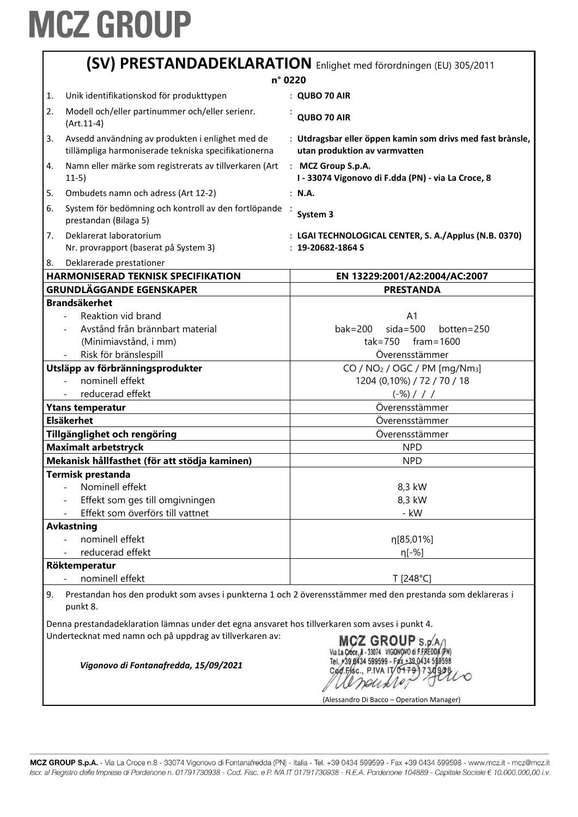| (SV) PRESTANDADEKLARATION Enlighet med förordningen (EU) 305/2011 |                                                                                                          |                                                                                                                                                  |  |
|-------------------------------------------------------------------|----------------------------------------------------------------------------------------------------------|--------------------------------------------------------------------------------------------------------------------------------------------------|--|
| n° 0220                                                           |                                                                                                          |                                                                                                                                                  |  |
| 1.                                                                | Unik identifikationskod för produkttypen                                                                 | : QUBO 70 AIR                                                                                                                                    |  |
| 2.<br>$(Art.11-4)$                                                | Modell och/eller partinummer och/eller serienr.                                                          | QUBO 70 AIR                                                                                                                                      |  |
| 3.                                                                | Avsedd användning av produkten i enlighet med de<br>tillämpliga harmoniserade tekniska specifikationerna | : Utdragsbar eller öppen kamin som drivs med fast brànsle,<br>utan produktion av varmvatten                                                      |  |
| 4.<br>$11-5)$                                                     | Namn eller märke som registrerats av tillverkaren (Art                                                   | : MCZ Group S.p.A.<br>I - 33074 Vigonovo di F.dda (PN) - via La Croce, 8                                                                         |  |
| 5.                                                                | Ombudets namn och adress (Art 12-2)                                                                      | : N.A.                                                                                                                                           |  |
| 6.<br>prestandan (Bilaga 5)                                       | System för bedömning och kontroll av den fortlöpande                                                     | System 3                                                                                                                                         |  |
| Deklarerat laboratorium<br>7.                                     | Nr. provrapport (baserat på System 3)                                                                    | : LGAI TECHNOLOGICAL CENTER, S. A./Applus (N.B. 0370)<br>$: 19 - 20682 - 1864$ S                                                                 |  |
| Deklarerade prestationer<br>8.                                    |                                                                                                          |                                                                                                                                                  |  |
|                                                                   | <b>HARMONISERAD TEKNISK SPECIFIKATION</b>                                                                | EN 13229:2001/A2:2004/AC:2007                                                                                                                    |  |
| <b>GRUNDLÄGGANDE EGENSKAPER</b>                                   |                                                                                                          | <b>PRESTANDA</b>                                                                                                                                 |  |
| <b>Brandsäkerhet</b><br>Reaktion vid brand                        |                                                                                                          | A <sub>1</sub>                                                                                                                                   |  |
|                                                                   | Avstånd från brännbart material                                                                          | $sida = 500$<br>$bak = 200$<br>$bottom = 250$                                                                                                    |  |
|                                                                   | (Minimiavstånd, i mm)                                                                                    | $\text{tak} = 750$ fram = 1600                                                                                                                   |  |
| Risk för bränslespill                                             |                                                                                                          | Överensstämmer                                                                                                                                   |  |
| Utsläpp av förbränningsprodukter                                  |                                                                                                          | CO / $NO2$ / OGC / PM [mg/Nm <sub>3</sub> ]                                                                                                      |  |
| nominell effekt<br>$\blacksquare$                                 |                                                                                                          | 1204 (0,10%) / 72 / 70 / 18                                                                                                                      |  |
| reducerad effekt                                                  |                                                                                                          | $(-\%)$ / / /                                                                                                                                    |  |
| <b>Ytans temperatur</b>                                           |                                                                                                          | Överensstämmer                                                                                                                                   |  |
| <b>Elsäkerhet</b>                                                 |                                                                                                          | Överensstämmer                                                                                                                                   |  |
| Tillgänglighet och rengöring                                      |                                                                                                          | Överensstämmer                                                                                                                                   |  |
| <b>Maximalt arbetstryck</b>                                       |                                                                                                          | <b>NPD</b>                                                                                                                                       |  |
|                                                                   | Mekanisk hållfasthet (för att stödja kaminen)                                                            | <b>NPD</b>                                                                                                                                       |  |
| <b>Termisk prestanda</b>                                          |                                                                                                          |                                                                                                                                                  |  |
| - Nominell effekt                                                 |                                                                                                          | 8,3 kW                                                                                                                                           |  |
|                                                                   | Effekt som ges till omgivningen                                                                          | 8,3 kW                                                                                                                                           |  |
|                                                                   | Effekt som överförs till vattnet                                                                         | - kW                                                                                                                                             |  |
| <b>Avkastning</b>                                                 |                                                                                                          |                                                                                                                                                  |  |
| nominell effekt                                                   |                                                                                                          | η[85,01%]                                                                                                                                        |  |
| reducerad effekt                                                  |                                                                                                          | η[-%]                                                                                                                                            |  |
| Röktemperatur                                                     |                                                                                                          |                                                                                                                                                  |  |
| nominell effekt                                                   |                                                                                                          | T [248°C]                                                                                                                                        |  |
| 9.<br>punkt 8.                                                    |                                                                                                          | Prestandan hos den produkt som avses i punkterna 1 och 2 överensstämmer med den prestanda som deklareras i                                       |  |
|                                                                   | Denna prestandadeklaration lämnas under det egna ansvaret hos tillverkaren som avses i punkt 4.          |                                                                                                                                                  |  |
|                                                                   | Undertecknat med namn och på uppdrag av tillverkaren av:<br>Vigonovo di Fontanafredda, 15/09/2021        | MCZ GROUP S.D.<br>Via La Cróce, 8 - 33074 VIGONOVO di F.FREDI<br>Tel. +39 8434 599599 - Fax +39 0434 59<br>Cød.F/isc., P.IVA IT/0 <del>179</del> |  |
|                                                                   |                                                                                                          |                                                                                                                                                  |  |

(Alessandro Di Bacco - Operation Manager)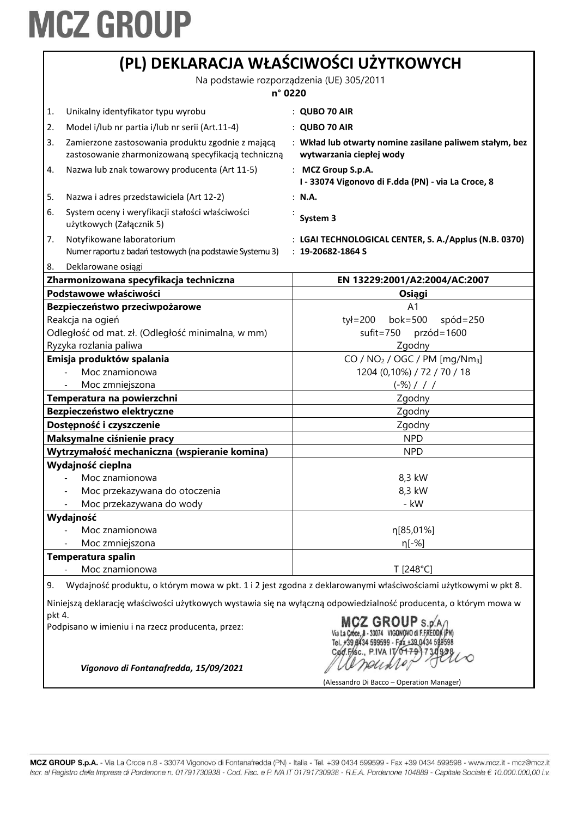|                            |                                                                                                          | (PL) DEKLARACJA WŁAŚCIWOŚCI UŻYTKOWYCH                                                                            |
|----------------------------|----------------------------------------------------------------------------------------------------------|-------------------------------------------------------------------------------------------------------------------|
|                            |                                                                                                          | Na podstawie rozporządzenia (UE) 305/2011                                                                         |
|                            | n° 0220                                                                                                  |                                                                                                                   |
| 1.                         | Unikalny identyfikator typu wyrobu                                                                       | $:$ QUBO 70 AIR                                                                                                   |
| 2.                         | Model i/lub nr partia i/lub nr serii (Art.11-4)                                                          | : QUBO 70 AIR                                                                                                     |
| 3.                         | Zamierzone zastosowania produktu zgodnie z mającą<br>zastosowanie zharmonizowaną specyfikacją techniczną | : Wkład lub otwarty nomine zasilane paliwem stałym, bez<br>wytwarzania ciepłej wody                               |
| 4.                         | Nazwa lub znak towarowy producenta (Art 11-5)                                                            | : MCZ Group S.p.A.<br>I - 33074 Vigonovo di F.dda (PN) - via La Croce, 8                                          |
| 5.                         | Nazwa i adres przedstawiciela (Art 12-2)                                                                 | : N.A.                                                                                                            |
| 6.                         | System oceny i weryfikacji stałości właściwości<br>użytkowych (Załącznik 5)                              | System 3                                                                                                          |
| 7.                         | Notyfikowane laboratorium<br>Numer raportu z badań testowych (na podstawie Systemu 3)                    | : LGAI TECHNOLOGICAL CENTER, S. A./Applus (N.B. 0370)<br>$: 19 - 20682 - 1864S$                                   |
| 8.                         | Deklarowane osiągi                                                                                       |                                                                                                                   |
|                            | Zharmonizowana specyfikacja techniczna<br>Podstawowe właściwości                                         | EN 13229:2001/A2:2004/AC:2007                                                                                     |
|                            | Bezpieczeństwo przeciwpożarowe                                                                           | Osiągi<br>A1                                                                                                      |
|                            | Reakcja na ogień<br>Odległość od mat. zł. (Odległość minimalna, w mm)                                    | $b$ ok=500<br>tył=200<br>$spód = 250$<br>$s$ ufit=750<br>$przód = 1600$                                           |
|                            | Ryzyka rozlania paliwa                                                                                   | Zgodny                                                                                                            |
|                            | Emisja produktów spalania                                                                                | CO / NO <sub>2</sub> / OGC / PM [mg/Nm <sub>3</sub> ]                                                             |
|                            | Moc znamionowa                                                                                           | 1204 (0,10%) / 72 / 70 / 18                                                                                       |
|                            | Moc zmniejszona                                                                                          | $(-\%)$ / / /                                                                                                     |
| Temperatura na powierzchni |                                                                                                          | Zgodny                                                                                                            |
| Bezpieczeństwo elektryczne |                                                                                                          | Zgodny                                                                                                            |
|                            | Dostępność i czyszczenie                                                                                 | Zgodny                                                                                                            |
|                            | Maksymalne ciśnienie pracy                                                                               | <b>NPD</b>                                                                                                        |
|                            | Wytrzymałość mechaniczna (wspieranie komina)                                                             | <b>NPD</b>                                                                                                        |
|                            | Wydajność cieplna                                                                                        |                                                                                                                   |
|                            | Moc znamionowa                                                                                           | 8,3 kW                                                                                                            |
|                            | Moc przekazywana do otoczenia                                                                            | 8,3 kW                                                                                                            |
|                            | Moc przekazywana do wody                                                                                 | - kW                                                                                                              |
|                            | Wydajność                                                                                                |                                                                                                                   |
|                            | Moc znamionowa                                                                                           | η[85,01%]                                                                                                         |
|                            | Moc zmniejszona                                                                                          | $n[-%]$                                                                                                           |
|                            | Temperatura spalin                                                                                       |                                                                                                                   |
|                            | Moc znamionowa                                                                                           | T [248°C]                                                                                                         |
| 9.                         |                                                                                                          | Wydajność produktu, o którym mowa w pkt. 1 i 2 jest zgodna z deklarowanymi właściwościami użytkowymi w pkt 8.     |
| pkt 4.                     |                                                                                                          | Niniejszą deklarację właściwości użytkowych wystawia się na wyłączną odpowiedzialność producenta, o którym mowa w |
|                            | Podpisano w imieniu i na rzecz producenta, przez:                                                        | CZ GROUPs<br>Cod Fisc., P.IVA IT/0479                                                                             |
|                            | Vigonovo di Fontanafredda, 15/09/2021                                                                    | (Alessandro Di Bacco - Operation Manager)                                                                         |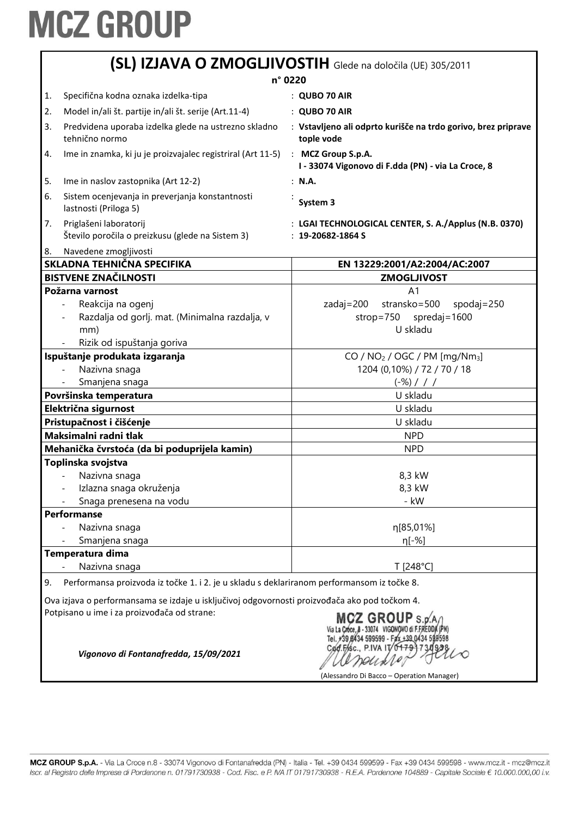|         |                                                                                               | (SL) IZJAVA O ZMOGLJIVOSTIH Glede na določila (UE) 305/2011                                                                  |
|---------|-----------------------------------------------------------------------------------------------|------------------------------------------------------------------------------------------------------------------------------|
| n° 0220 |                                                                                               |                                                                                                                              |
| 1.      | Specifična kodna oznaka izdelka-tipa                                                          | $:$ QUBO 70 AIR                                                                                                              |
| 2.      | Model in/ali št. partije in/ali št. serije (Art.11-4)                                         | : QUBO 70 AIR                                                                                                                |
| 3.      | Predvidena uporaba izdelka glede na ustrezno skladno<br>tehnično normo                        | : Vstavljeno ali odprto kurišče na trdo gorivo, brez priprave<br>tople vode                                                  |
| 4.      | Ime in znamka, ki ju je proizvajalec registriral (Art 11-5)                                   | : MCZ Group S.p.A.<br>I - 33074 Vigonovo di F.dda (PN) - via La Croce, 8                                                     |
| 5.      | Ime in naslov zastopnika (Art 12-2)                                                           | : N.A.                                                                                                                       |
| 6.      | Sistem ocenjevanja in preverjanja konstantnosti<br>lastnosti (Priloga 5)                      | System 3                                                                                                                     |
| 7.      | Priglašeni laboratorij<br>Število poročila o preizkusu (glede na Sistem 3)                    | : LGAI TECHNOLOGICAL CENTER, S. A./Applus (N.B. 0370)<br>$: 19 - 20682 - 1864S$                                              |
| 8.      | Navedene zmogljivosti                                                                         |                                                                                                                              |
|         | SKLADNA TEHNIČNA SPECIFIKA                                                                    | EN 13229:2001/A2:2004/AC:2007                                                                                                |
|         | <b>BISTVENE ZNAČILNOSTI</b>                                                                   | <b>ZMOGLJIVOST</b>                                                                                                           |
|         | Požarna varnost                                                                               | A <sub>1</sub>                                                                                                               |
|         | Reakcija na ogenj<br>Razdalja od gorlj. mat. (Minimalna razdalja, v<br>mm)                    | zadaj=200<br>stransko=500<br>$spodaj = 250$<br>strop=750 spredaj=1600<br>U skladu                                            |
|         | Rizik od ispuštanja goriva                                                                    |                                                                                                                              |
|         | Ispuštanje produkata izgaranja                                                                | CO / NO <sub>2</sub> / OGC / PM [mg/Nm <sub>3</sub> ]                                                                        |
|         | Nazivna snaga                                                                                 | 1204 (0,10%) / 72 / 70 / 18                                                                                                  |
|         | Smanjena snaga                                                                                | $(-\%)$ / / /                                                                                                                |
|         | Površinska temperatura                                                                        | U skladu                                                                                                                     |
|         | Električna sigurnost                                                                          | U skladu                                                                                                                     |
|         | Pristupačnost i čišćenje                                                                      | U skladu                                                                                                                     |
|         | Maksimalni radni tlak                                                                         | <b>NPD</b>                                                                                                                   |
|         | Mehanička čvrstoća (da bi poduprijela kamin)                                                  | <b>NPD</b>                                                                                                                   |
|         | Toplinska svojstva                                                                            |                                                                                                                              |
|         | Nazivna snaga                                                                                 | 8,3 kW                                                                                                                       |
|         | Izlazna snaga okruženja                                                                       | 8,3 kW                                                                                                                       |
|         | Snaga prenesena na vodu                                                                       | - kW                                                                                                                         |
|         | <b>Performanse</b>                                                                            |                                                                                                                              |
|         | Nazivna snaga                                                                                 | η[85,01%]                                                                                                                    |
|         | Smanjena snaga                                                                                | η[-%]                                                                                                                        |
|         | Temperatura dima<br>Nazivna snaga                                                             | T [248°C]                                                                                                                    |
|         |                                                                                               |                                                                                                                              |
| 9.      | Performansa proizvoda iz točke 1. i 2. je u skladu s deklariranom performansom iz točke 8.    |                                                                                                                              |
|         | Ova izjava o performansama se izdaje u isključivoj odgovornosti proizvođača ako pod točkom 4. |                                                                                                                              |
|         | Potpisano u ime i za proizvođača od strane:<br>Vigonovo di Fontanafredda, 15/09/2021          | MCZ GROUP S.p.<br>+39 6434 599599 - Fax +39 0434 5<br>Cod.Fisc., P.IVA IT/04791<br>(Alessandro Di Bacco – Operation Manager) |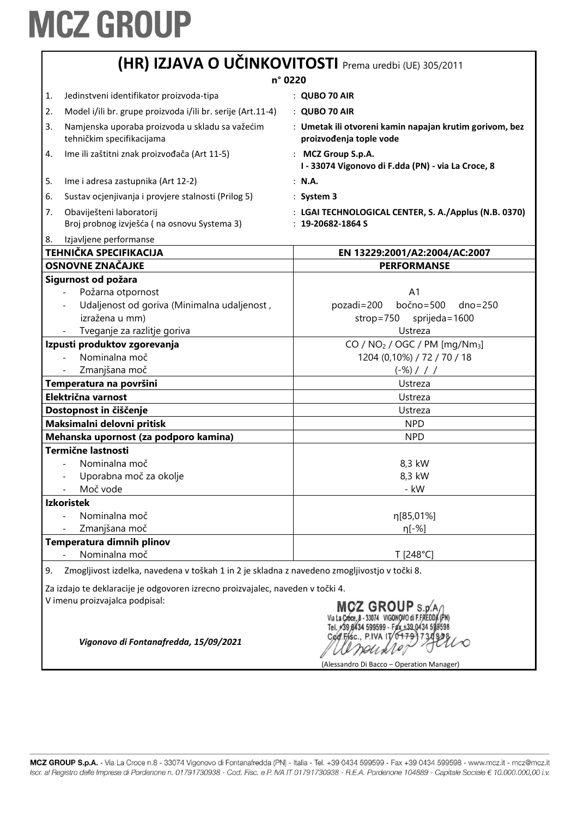|                                                                                                                  | (HR) IZJAVA O UČINKOVITOSTI Prema uredbi (UE) 305/2011                                                                                      |                                                                                    |  |
|------------------------------------------------------------------------------------------------------------------|---------------------------------------------------------------------------------------------------------------------------------------------|------------------------------------------------------------------------------------|--|
| n° 0220                                                                                                          |                                                                                                                                             |                                                                                    |  |
| 1.                                                                                                               | Jedinstveni identifikator proizvoda-tipa                                                                                                    | $:$ QUBO 70 AIR                                                                    |  |
| 2.                                                                                                               | Model i/ili br. grupe proizvoda i/ili br. serije (Art.11-4)                                                                                 | : QUBO 70 AIR                                                                      |  |
| 3.                                                                                                               | Namjenska uporaba proizvoda u skladu sa važećim<br>tehničkim specifikacijama                                                                | : Umetak ili otvoreni kamin napajan krutim gorivom, bez<br>proizvođenja tople vode |  |
| 4.                                                                                                               | Ime ili zaštitni znak proizvođača (Art 11-5)                                                                                                | : MCZ Group S.p.A.<br>I - 33074 Vigonovo di F.dda (PN) - via La Croce, 8           |  |
| 5.                                                                                                               | Ime i adresa zastupnika (Art 12-2)                                                                                                          | : N.A.                                                                             |  |
| 6.                                                                                                               | Sustav ocjenjivanja i provjere stalnosti (Prilog 5)                                                                                         | $:$ System 3                                                                       |  |
| 7.                                                                                                               | Obaviješteni laboratorij<br>Broj probnog izvješća (na osnovu Systema 3)                                                                     | : LGAI TECHNOLOGICAL CENTER, S. A./Applus (N.B. 0370)<br>$: 19 - 20682 - 1864S$    |  |
| 8.                                                                                                               | Izjavljene performanse                                                                                                                      |                                                                                    |  |
|                                                                                                                  | <b>TEHNIČKA SPECIFIKACIJA</b>                                                                                                               | EN 13229:2001/A2:2004/AC:2007                                                      |  |
|                                                                                                                  | <b>OSNOVNE ZNAČAJKE</b>                                                                                                                     | <b>PERFORMANSE</b>                                                                 |  |
|                                                                                                                  | Sigurnost od požara                                                                                                                         |                                                                                    |  |
|                                                                                                                  | Požarna otpornost                                                                                                                           | A <sub>1</sub>                                                                     |  |
|                                                                                                                  | Udaljenost od goriva (Minimalna udaljenost,                                                                                                 | bočno=500<br>pozadi=200<br>$dno = 250$                                             |  |
|                                                                                                                  | izražena u mm)                                                                                                                              | strop=750<br>sprijeda=1600                                                         |  |
|                                                                                                                  | Tveganje za razlitje goriva                                                                                                                 | Ustreza                                                                            |  |
|                                                                                                                  | Izpusti produktov zgorevanja                                                                                                                | CO / $NO2$ / OGC / PM [mg/Nm <sub>3</sub> ]                                        |  |
|                                                                                                                  | Nominalna moč                                                                                                                               | 1204 (0,10%) / 72 / 70 / 18                                                        |  |
|                                                                                                                  | Zmanjšana moč                                                                                                                               | $(-\%)$ / / /                                                                      |  |
| Temperatura na površini                                                                                          |                                                                                                                                             | Ustreza                                                                            |  |
| Električna varnost                                                                                               |                                                                                                                                             | Ustreza                                                                            |  |
| Dostopnost in čiščenje                                                                                           |                                                                                                                                             | Ustreza                                                                            |  |
| Maksimalni delovni pritisk                                                                                       |                                                                                                                                             | <b>NPD</b>                                                                         |  |
| Mehanska upornost (za podporo kamina)                                                                            |                                                                                                                                             | <b>NPD</b>                                                                         |  |
|                                                                                                                  | <b>Termične lastnosti</b>                                                                                                                   |                                                                                    |  |
|                                                                                                                  | Nominalna moč                                                                                                                               | 8,3 kW                                                                             |  |
|                                                                                                                  | Uporabna moč za okolje                                                                                                                      | 8,3 kW                                                                             |  |
|                                                                                                                  | Moč vode                                                                                                                                    | - kW                                                                               |  |
|                                                                                                                  | <b>Izkoristek</b>                                                                                                                           |                                                                                    |  |
|                                                                                                                  | Nominalna moč                                                                                                                               | η[85,01%]                                                                          |  |
|                                                                                                                  | Zmanjšana moč                                                                                                                               | $n[-%]$                                                                            |  |
|                                                                                                                  | Temperatura dimnih plinov                                                                                                                   |                                                                                    |  |
| 9.                                                                                                               | Nominalna moč                                                                                                                               | T [248°C]                                                                          |  |
| Zmogljivost izdelka, navedena v toškah 1 in 2 je skladna z navedeno zmogljivostjo v točki 8.                     |                                                                                                                                             |                                                                                    |  |
| Za izdajo te deklaracije je odgovoren izrecno proizvajalec, naveden v točki 4.<br>V imenu proizvajalca podpisal: |                                                                                                                                             |                                                                                    |  |
|                                                                                                                  | CZ GROUP $\mathsf{s}$ . o<br>Cod.FASC., P.IVA IT/0179<br>Vigonovo di Fontanafredda, 15/09/2021<br>(Alessandro Di Bacco – Operation Manager) |                                                                                    |  |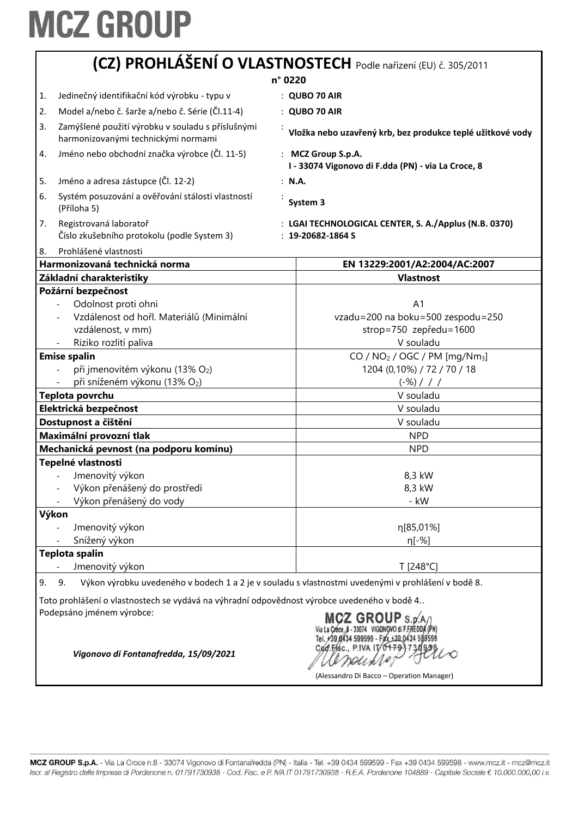|                       | (CZ) PROHLÁŠENÍ O VLASTNOSTECH Podle nařízení (EU) č. 305/2011<br>n° 0220                                                                                                                                                                                                                             |                                                                                                                                                                                                                                                          |  |
|-----------------------|-------------------------------------------------------------------------------------------------------------------------------------------------------------------------------------------------------------------------------------------------------------------------------------------------------|----------------------------------------------------------------------------------------------------------------------------------------------------------------------------------------------------------------------------------------------------------|--|
|                       |                                                                                                                                                                                                                                                                                                       |                                                                                                                                                                                                                                                          |  |
| 1.                    | Jedinečný identifikační kód výrobku - typu v                                                                                                                                                                                                                                                          | $:$ QUBO 70 AIR                                                                                                                                                                                                                                          |  |
| 2.                    | Model a/nebo č. šarže a/nebo č. Série (Čl.11-4)                                                                                                                                                                                                                                                       | : QUBO 70 AIR                                                                                                                                                                                                                                            |  |
| 3.                    | Zamýšlené použití výrobku v souladu s příslušnými<br>harmonizovanými technickými normami                                                                                                                                                                                                              | Vložka nebo uzavřený krb, bez produkce teplé užitkové vody                                                                                                                                                                                               |  |
| 4.                    | Jméno nebo obchodní značka výrobce (Čl. 11-5)                                                                                                                                                                                                                                                         | : MCZ Group S.p.A.<br>I - 33074 Vigonovo di F.dda (PN) - via La Croce, 8                                                                                                                                                                                 |  |
| 5.                    | Jméno a adresa zástupce (Čl. 12-2)                                                                                                                                                                                                                                                                    | : N.A.                                                                                                                                                                                                                                                   |  |
| 6.                    | Systém posuzování a ověřování stálosti vlastností<br>(Příloha 5)                                                                                                                                                                                                                                      | System 3                                                                                                                                                                                                                                                 |  |
| 7.                    | Registrovaná laboratoř<br>Číslo zkušebního protokolu (podle System 3)                                                                                                                                                                                                                                 | : LGAI TECHNOLOGICAL CENTER, S. A./Applus (N.B. 0370)<br>$: 19 - 20682 - 1864S$                                                                                                                                                                          |  |
| 8.                    | Prohlášené vlastnosti                                                                                                                                                                                                                                                                                 |                                                                                                                                                                                                                                                          |  |
|                       | Harmonizovaná technická norma                                                                                                                                                                                                                                                                         | EN 13229:2001/A2:2004/AC:2007                                                                                                                                                                                                                            |  |
|                       | Základní charakteristiky<br>Požární bezpečnost                                                                                                                                                                                                                                                        | <b>Vlastnost</b>                                                                                                                                                                                                                                         |  |
|                       | Odolnost proti ohni<br>Vzdálenost od hořl. Materiálů (Minimální<br>vzdálenost, v mm)<br>Riziko rozlití paliva<br><b>Emise spalin</b><br>při jmenovitém výkonu (13% O2)<br>při sníženém výkonu (13% O2)<br>Teplota povrchu<br>Elektrická bezpečnost<br>Dostupnost a čištění<br>Maximální provozní tlak | A <sub>1</sub><br>vzadu=200 na boku=500 zespodu=250<br>strop=750 zepředu=1600<br>V souladu<br>CO / NO <sub>2</sub> / OGC / PM [mg/Nm <sub>3</sub> ]<br>1204 (0,10%) / 72 / 70 / 18<br>$(-\%)$ / / /<br>V souladu<br>V souladu<br>V souladu<br><b>NPD</b> |  |
|                       | Mechanická pevnost (na podporu komínu)                                                                                                                                                                                                                                                                | <b>NPD</b>                                                                                                                                                                                                                                               |  |
|                       | Tepelné vlastnosti<br>Jmenovitý výkon<br>Výkon přenášený do prostředí<br>Výkon přenášený do vody                                                                                                                                                                                                      | 8,3 kW<br>8,3 kW<br>- kW                                                                                                                                                                                                                                 |  |
|                       | Výkon                                                                                                                                                                                                                                                                                                 |                                                                                                                                                                                                                                                          |  |
|                       | Jmenovitý výkon                                                                                                                                                                                                                                                                                       | n[85,01%]                                                                                                                                                                                                                                                |  |
|                       | Snížený výkon                                                                                                                                                                                                                                                                                         | η[-%]                                                                                                                                                                                                                                                    |  |
| <b>Teplota spalin</b> |                                                                                                                                                                                                                                                                                                       | T [248°C]                                                                                                                                                                                                                                                |  |
|                       | Jmenovitý výkon                                                                                                                                                                                                                                                                                       |                                                                                                                                                                                                                                                          |  |
| 9.                    | 9.<br>Toto prohlášení o vlastnostech se vydává na výhradní odpovědnost výrobce uvedeného v bodě 4<br>Podepsáno jménem výrobce:                                                                                                                                                                        | Výkon výrobku uvedeného v bodech 1 a 2 je v souladu s vlastnostmi uvedenými v prohlášení v bodě 8.<br>MCZ GROUP S.D.A.<br>Via La Croce, B - 33074 VIGONOVO di F.FREDDA (PN)<br>+39 8434 599599 - Fax +39 0434 598598                                     |  |

(Alessandro Di Bacco – Operation Manager)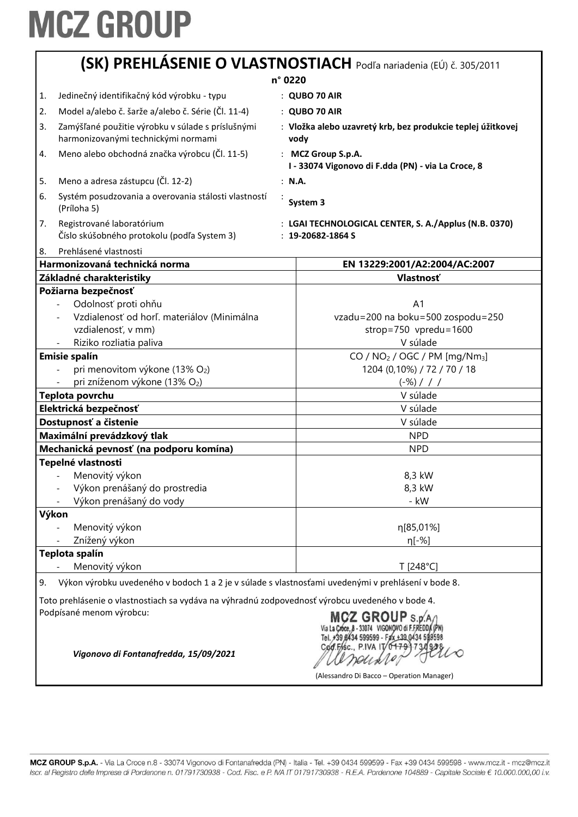|                                                                                                          | (SK) PREHLÁSENIE O VLASTNOSTIACH Podľa nariadenia (EÚ) č. 305/2011              |
|----------------------------------------------------------------------------------------------------------|---------------------------------------------------------------------------------|
|                                                                                                          | n° 0220                                                                         |
| Jedinečný identifikačný kód výrobku - typu<br>1.                                                         | : QUBO 70 AIR                                                                   |
| Model a/alebo č. šarže a/alebo č. Série (Čl. 11-4)<br>2.                                                 | : QUBO 70 AIR                                                                   |
| Zamýšľané použitie výrobku v súlade s príslušnými<br>3.<br>harmonizovanými technickými normami           | : Vložka alebo uzavretý krb, bez produkcie teplej úžitkovej<br>vody             |
| Meno alebo obchodná značka výrobcu (Čl. 11-5)<br>4.                                                      | : MCZ Group S.p.A.<br>I - 33074 Vigonovo di F.dda (PN) - via La Croce, 8        |
| Meno a adresa zástupcu (Čl. 12-2)<br>5.                                                                  | : N.A.                                                                          |
| 6.<br>Systém posudzovania a overovania stálosti vlastností<br>(Príloha 5)                                | System 3                                                                        |
| Registrované laboratórium<br>7.<br>Číslo skúšobného protokolu (podľa System 3)                           | : LGAI TECHNOLOGICAL CENTER, S. A./Applus (N.B. 0370)<br>$: 19 - 20682 - 1864S$ |
| Prehlásené vlastnosti<br>8.                                                                              |                                                                                 |
| Harmonizovaná technická norma                                                                            | EN 13229:2001/A2:2004/AC:2007                                                   |
| Základné charakteristiky                                                                                 | Vlastnosť                                                                       |
| Požiarna bezpečnosť                                                                                      |                                                                                 |
| Odolnosť proti ohňu                                                                                      | A <sub>1</sub>                                                                  |
| Vzdialenosť od horľ. materiálov (Minimálna                                                               | vzadu=200 na boku=500 zospodu=250                                               |
| vzdialenosť, v mm)                                                                                       | strop=750 vpredu=1600                                                           |
| Riziko rozliatia paliva                                                                                  | V súlade                                                                        |
| <b>Emisie spalín</b>                                                                                     | CO / NO <sub>2</sub> / OGC / PM [mg/Nm <sub>3</sub> ]                           |
| pri menovitom výkone (13% O2)                                                                            | 1204 (0,10%) / 72 / 70 / 18                                                     |
| pri zníženom výkone (13% O2)                                                                             | $(-\%)$ / / /                                                                   |
| Teplota povrchu                                                                                          | V súlade                                                                        |
| Elektrická bezpečnosť                                                                                    | V súlade                                                                        |
| Dostupnosť a čistenie                                                                                    | V súlade                                                                        |
| Maximální prevádzkový tlak                                                                               | <b>NPD</b>                                                                      |
| Mechanická pevnosť (na podporu komína)                                                                   | <b>NPD</b>                                                                      |
| Tepelné vlastnosti                                                                                       |                                                                                 |
| Menovitý výkon                                                                                           | 8,3 kW                                                                          |
| Výkon prenášaný do prostredia                                                                            | 8,3 kW                                                                          |
| Výkon prenášaný do vody                                                                                  | - kW                                                                            |
| Výkon                                                                                                    |                                                                                 |
| Menovitý výkon                                                                                           | η[85,01%]                                                                       |
| Znížený výkon                                                                                            | η[-%]                                                                           |
| Teplota spalín                                                                                           |                                                                                 |
| Menovitý výkon                                                                                           | T [248°C]                                                                       |
| Výkon výrobku uvedeného v bodoch 1 a 2 je v súlade s vlastnosťami uvedenými v prehlásení v bode 8.<br>9. |                                                                                 |
| Toto prehlásenie o vlastnostiach sa vydáva na výhradnú zodpovednosť výrobcu uvedeného v bode 4.          |                                                                                 |

Podpísané menom výrobcu:

MCZ GROUP S.p. A /<br>Via La Croce, 8 - 33074 VIGONOVO di F.FREDDA (PN)<br>Tel. +39 8434 599599 - Fax +39 0434 599598 Cod.Fisc., P.IVA IT/04791730938 Deuxle

(Alessandro Di Bacco – Operation Manager)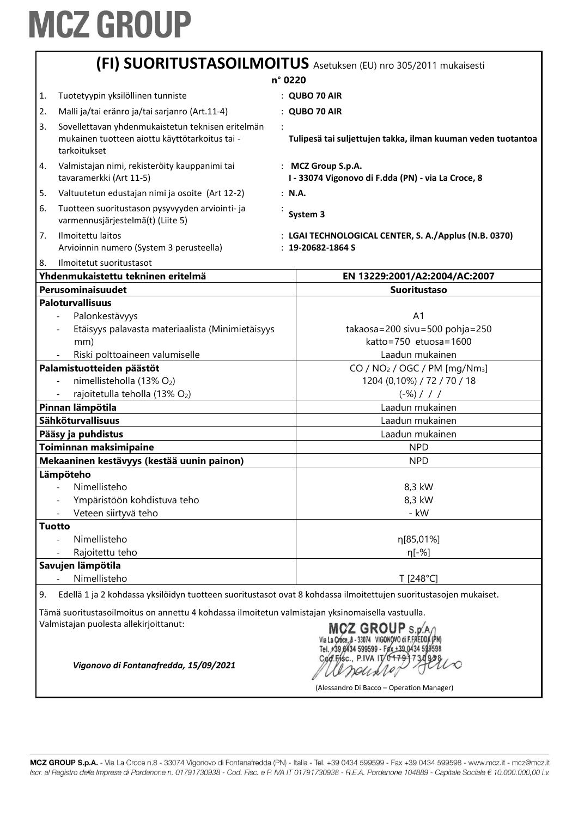|                                                             |                                                                                                                                            |                                             | (FI) SUORITUSTASOILMOITUS Asetuksen (EU) nro 305/2011 mukaisesti                                                   |
|-------------------------------------------------------------|--------------------------------------------------------------------------------------------------------------------------------------------|---------------------------------------------|--------------------------------------------------------------------------------------------------------------------|
|                                                             | n° 0220                                                                                                                                    |                                             |                                                                                                                    |
| 1.                                                          | Tuotetyypin yksilöllinen tunniste                                                                                                          |                                             | $:$ QUBO 70 AIR                                                                                                    |
| 2.                                                          | Malli ja/tai eränro ja/tai sarjanro (Art.11-4)                                                                                             |                                             | : QUBO 70 AIR                                                                                                      |
| 3.                                                          | Sovellettavan yhdenmukaistetun teknisen eritelmän<br>mukainen tuotteen aiottu käyttötarkoitus tai -<br>tarkoitukset                        |                                             | Tulipesä tai suljettujen takka, ilman kuuman veden tuotantoa                                                       |
| 4.                                                          | Valmistajan nimi, rekisteröity kauppanimi tai<br>tavaramerkki (Art 11-5)                                                                   |                                             | : MCZ Group S.p.A.<br>I - 33074 Vigonovo di F.dda (PN) - via La Croce, 8                                           |
| 5.                                                          | Valtuutetun edustajan nimi ja osoite (Art 12-2)                                                                                            | : N.A.                                      |                                                                                                                    |
| 6.                                                          | Tuotteen suoritustason pysyvyyden arviointi- ja<br>varmennusjärjestelmä(t) (Liite 5)                                                       |                                             | System 3                                                                                                           |
| 7.                                                          | Ilmoitettu laitos<br>Arvioinnin numero (System 3 perusteella)                                                                              |                                             | : LGAI TECHNOLOGICAL CENTER, S. A./Applus (N.B. 0370)<br>$: 19 - 20682 - 1864S$                                    |
| 8.                                                          | Ilmoitetut suoritustasot                                                                                                                   |                                             |                                                                                                                    |
|                                                             | Yhdenmukaistettu tekninen eritelmä                                                                                                         |                                             | EN 13229:2001/A2:2004/AC:2007                                                                                      |
|                                                             | Perusominaisuudet                                                                                                                          |                                             | <b>Suoritustaso</b>                                                                                                |
|                                                             | <b>Paloturvallisuus</b>                                                                                                                    |                                             |                                                                                                                    |
|                                                             | Palonkestävyys                                                                                                                             |                                             | A <sub>1</sub>                                                                                                     |
|                                                             | Etäisyys palavasta materiaalista (Minimietäisyys                                                                                           |                                             | takaosa=200 sivu=500 pohja=250<br>katto=750 etuosa=1600                                                            |
|                                                             | mm)                                                                                                                                        |                                             | Laadun mukainen                                                                                                    |
| Riski polttoaineen valumiselle<br>Palamistuotteiden päästöt |                                                                                                                                            | CO / $NO2$ / OGC / PM [mg/Nm <sub>3</sub> ] |                                                                                                                    |
|                                                             | nimellisteholla (13% O2)                                                                                                                   |                                             | 1204 (0,10%) / 72 / 70 / 18                                                                                        |
|                                                             | rajoitetulla teholla (13% O2)                                                                                                              |                                             | $(-\%)$ / / /                                                                                                      |
|                                                             | Pinnan lämpötila                                                                                                                           |                                             | Laadun mukainen                                                                                                    |
|                                                             | Sähköturvallisuus                                                                                                                          |                                             | Laadun mukainen                                                                                                    |
|                                                             | Pääsy ja puhdistus                                                                                                                         |                                             | Laadun mukainen                                                                                                    |
|                                                             | Toiminnan maksimipaine                                                                                                                     |                                             | <b>NPD</b>                                                                                                         |
|                                                             | Mekaaninen kestävyys (kestää uunin painon)                                                                                                 |                                             | <b>NPD</b>                                                                                                         |
|                                                             | Lämpöteho                                                                                                                                  |                                             |                                                                                                                    |
|                                                             | Nimellisteho                                                                                                                               |                                             | 8,3 kW                                                                                                             |
|                                                             | Ympäristöön kohdistuva teho                                                                                                                |                                             | 8,3 kW                                                                                                             |
|                                                             | Veteen siirtyvä teho                                                                                                                       |                                             | - kW                                                                                                               |
|                                                             | <b>Tuotto</b>                                                                                                                              |                                             |                                                                                                                    |
|                                                             | Nimellisteho                                                                                                                               |                                             | η[85,01%]                                                                                                          |
|                                                             | Rajoitettu teho                                                                                                                            |                                             | η[-%]                                                                                                              |
|                                                             | Savujen lämpötila                                                                                                                          |                                             |                                                                                                                    |
|                                                             | Nimellisteho                                                                                                                               |                                             | T [248°C]                                                                                                          |
| 9.                                                          | Edellä 1 ja 2 kohdassa yksilöidyn tuotteen suoritustasot ovat 8 kohdassa ilmoitettujen suoritustasojen mukaiset.                           |                                             |                                                                                                                    |
|                                                             | Tämä suoritustasoilmoitus on annettu 4 kohdassa ilmoitetun valmistajan yksinomaisella vastuulla.<br>Valmistajan puolesta allekirjoittanut: |                                             | MCZ GROUP S.p.A<br>Via La Croce, 8 - 33074 VIGONOVO di F.FREDDA (PN)<br>Tel. +39 8434 599599 - Fax +39 0434 599598 |

Cod.Effsc., P.IVA IT 0+7997302210

(Alessandro Di Bacco – Operation Manager)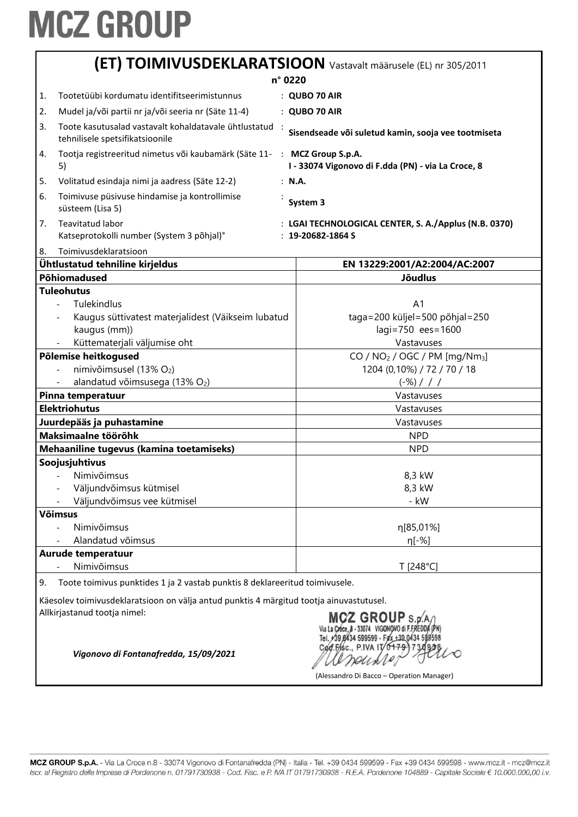|                                                                                         | (ET) TOIMIVUSDEKLARATSIOON Vastavalt määrusele (EL) nr 305/2011                                                                                                                                                                                                                                                                                                                    |                                                                                                                                                                                                                                                       |  |  |
|-----------------------------------------------------------------------------------------|------------------------------------------------------------------------------------------------------------------------------------------------------------------------------------------------------------------------------------------------------------------------------------------------------------------------------------------------------------------------------------|-------------------------------------------------------------------------------------------------------------------------------------------------------------------------------------------------------------------------------------------------------|--|--|
|                                                                                         | n° 0220                                                                                                                                                                                                                                                                                                                                                                            |                                                                                                                                                                                                                                                       |  |  |
| 1.                                                                                      | Tootetüübi kordumatu identifitseerimistunnus                                                                                                                                                                                                                                                                                                                                       | : QUBO 70 AIR                                                                                                                                                                                                                                         |  |  |
| 2.                                                                                      | Mudel ja/või partii nr ja/või seeria nr (Säte 11-4)                                                                                                                                                                                                                                                                                                                                | : QUBO 70 AIR                                                                                                                                                                                                                                         |  |  |
| 3.                                                                                      | Toote kasutusalad vastavalt kohaldatavale ühtlustatud<br>tehnilisele spetsifikatsioonile                                                                                                                                                                                                                                                                                           | Sisendseade või suletud kamin, sooja vee tootmiseta                                                                                                                                                                                                   |  |  |
| 4.                                                                                      | Tootja registreeritud nimetus või kaubamärk (Säte 11-<br>5)                                                                                                                                                                                                                                                                                                                        | : MCZ Group S.p.A.<br>I - 33074 Vigonovo di F.dda (PN) - via La Croce, 8                                                                                                                                                                              |  |  |
| 5.                                                                                      | Volitatud esindaja nimi ja aadress (Säte 12-2)                                                                                                                                                                                                                                                                                                                                     | : N.A.                                                                                                                                                                                                                                                |  |  |
| 6.                                                                                      | Toimivuse püsivuse hindamise ja kontrollimise<br>süsteem (Lisa 5)                                                                                                                                                                                                                                                                                                                  | System 3                                                                                                                                                                                                                                              |  |  |
| 7.                                                                                      | Teavitatud labor<br>Katseprotokolli number (System 3 põhjal)°                                                                                                                                                                                                                                                                                                                      | : LGAI TECHNOLOGICAL CENTER, S. A./Applus (N.B. 0370)<br>$: 19 - 20682 - 1864S$                                                                                                                                                                       |  |  |
| 8.                                                                                      | Toimivusdeklaratsioon                                                                                                                                                                                                                                                                                                                                                              |                                                                                                                                                                                                                                                       |  |  |
|                                                                                         | Ühtlustatud tehniline kirjeldus                                                                                                                                                                                                                                                                                                                                                    | EN 13229:2001/A2:2004/AC:2007                                                                                                                                                                                                                         |  |  |
|                                                                                         | Põhiomadused<br><b>Tuleohutus</b>                                                                                                                                                                                                                                                                                                                                                  | <b>Jõudlus</b>                                                                                                                                                                                                                                        |  |  |
|                                                                                         | Tulekindlus<br>Kaugus süttivatest materjalidest (Väikseim lubatud<br>kaugus (mm))<br>Küttematerjali väljumise oht<br>Põlemise heitkogused<br>nimivõimsusel (13% O2)<br>alandatud võimsusega (13% O2)<br>Pinna temperatuur<br><b>Elektriohutus</b><br>Juurdepääs ja puhastamine<br>Maksimaalne töörõhk<br>Mehaaniline tugevus (kamina toetamiseks)<br>Soojusjuhtivus<br>Nimivõimsus | A <sub>1</sub><br>taga=200 küljel=500 põhjal=250<br>lagi=750 ees=1600<br>Vastavuses<br>$CO / NO2 / OGC / PM [mq/Nm3]$<br>1204 (0,10%) / 72 / 70 / 18<br>$(-\%)$ / / /<br>Vastavuses<br>Vastavuses<br>Vastavuses<br><b>NPD</b><br><b>NPD</b><br>8,3 kW |  |  |
|                                                                                         | Väljundvõimsus kütmisel                                                                                                                                                                                                                                                                                                                                                            | 8,3 kW                                                                                                                                                                                                                                                |  |  |
|                                                                                         | Väljundvõimsus vee kütmisel<br><b>Võimsus</b><br>Nimivõimsus<br>Alandatud võimsus                                                                                                                                                                                                                                                                                                  | - kW<br>η[85,01%]<br>η[-%]                                                                                                                                                                                                                            |  |  |
|                                                                                         | Aurude temperatuur<br>Nimivõimsus                                                                                                                                                                                                                                                                                                                                                  | T [248°C]                                                                                                                                                                                                                                             |  |  |
| Toote toimivus punktides 1 ja 2 vastab punktis 8 deklareeritud toimivusele.<br>9.       |                                                                                                                                                                                                                                                                                                                                                                                    |                                                                                                                                                                                                                                                       |  |  |
| Käesolev toimivusdeklaratsioon on välja antud punktis 4 märgitud tootja ainuvastutusel. |                                                                                                                                                                                                                                                                                                                                                                                    |                                                                                                                                                                                                                                                       |  |  |
|                                                                                         | Allkirjastanud tootja nimel:<br>Vigonovo di Fontanafredda, 15/09/2021                                                                                                                                                                                                                                                                                                              | Z GROUP s.p.<br>(Alessandro Di Bacco - Operation Manager)                                                                                                                                                                                             |  |  |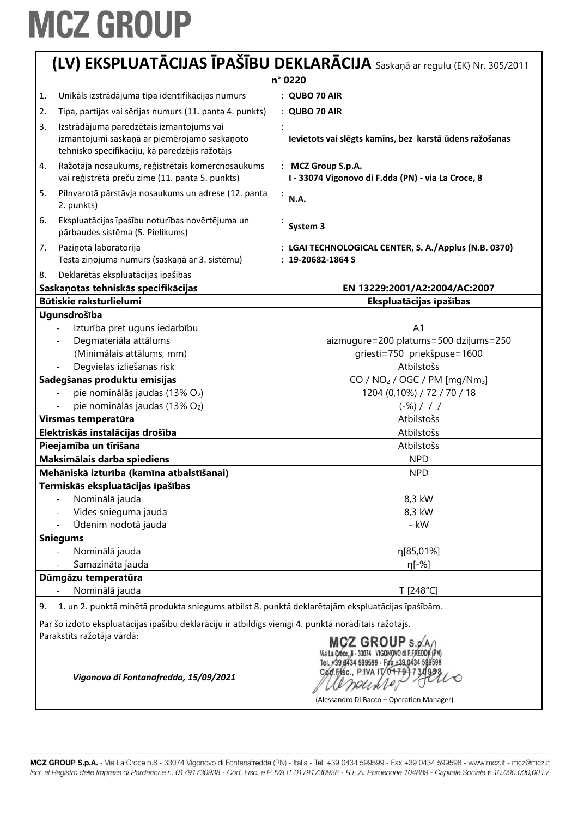|                                                                                                                                                     | (LV) EKSPLUATĀCIJAS ĪPAŠĪBU DEKLARĀCIJA Saskaņā ar regulu (EK) Nr. 305/2011                    |  |
|-----------------------------------------------------------------------------------------------------------------------------------------------------|------------------------------------------------------------------------------------------------|--|
|                                                                                                                                                     | n° 0220                                                                                        |  |
| Unikāls izstrādājuma tipa identifikācijas numurs<br>1.                                                                                              | : QUBO 70 AIR                                                                                  |  |
| Tipa, partijas vai sērijas numurs (11. panta 4. punkts)<br>2.                                                                                       | : QUBO 70 AIR                                                                                  |  |
| 3.<br>Izstrādājuma paredzētais izmantojums vai                                                                                                      |                                                                                                |  |
| izmantojumi saskaņā ar piemērojamo saskaņoto<br>tehnisko specifikāciju, kā paredzējis ražotājs                                                      | Ievietots vai slēgts kamīns, bez karstā ūdens ražošanas                                        |  |
| Ražotāja nosaukums, reģistrētais komercnosaukums<br>4.<br>vai reģistrētā preču zīme (11. panta 5. punkts)                                           | : MCZ Group S.p.A.<br>I - 33074 Vigonovo di F.dda (PN) - via La Croce, 8                       |  |
| 5.<br>Pilnvarotā pārstāvja nosaukums un adrese (12. panta<br>÷<br>2. punkts)                                                                        | N.A.                                                                                           |  |
| Ekspluatācijas īpašību noturības novērtējuma un<br>6.<br>pārbaudes sistēma (5. Pielikums)                                                           | System 3                                                                                       |  |
| 7.<br>Paziņotā laboratorija                                                                                                                         | : LGAI TECHNOLOGICAL CENTER, S. A./Applus (N.B. 0370)                                          |  |
| Testa ziņojuma numurs (saskaņā ar 3. sistēmu)                                                                                                       | $: 19-20682-1864S$                                                                             |  |
| 8.<br>Deklarētās ekspluatācijas īpašības                                                                                                            |                                                                                                |  |
| Saskaņotas tehniskās specifikācijas                                                                                                                 | EN 13229:2001/A2:2004/AC:2007                                                                  |  |
| Būtiskie raksturlielumi                                                                                                                             | Ekspluatācijas īpašības                                                                        |  |
| Ugunsdrošība                                                                                                                                        |                                                                                                |  |
| Izturība pret uguns iedarbību                                                                                                                       | A <sub>1</sub>                                                                                 |  |
| Degmateriāla attālums                                                                                                                               | aizmugure=200 platums=500 dziļums=250                                                          |  |
| (Minimālais attālums, mm)                                                                                                                           | griesti=750 priekšpuse=1600                                                                    |  |
| Degvielas izliešanas risk                                                                                                                           | Atbilstošs                                                                                     |  |
| Sadegšanas produktu emisijas<br>pie nominālās jaudas (13% O2)                                                                                       | CO / $NO2$ / OGC / PM [mg/Nm <sub>3</sub> ]<br>1204 (0,10%) / 72 / 70 / 18                     |  |
| pie nominālās jaudas (13% O2)                                                                                                                       | $(-\%)$ / / /                                                                                  |  |
| Virsmas temperatūra                                                                                                                                 | Atbilstošs                                                                                     |  |
| Elektriskās instalācijas drošība                                                                                                                    | Atbilstošs                                                                                     |  |
| Pieejamība un tīrīšana                                                                                                                              | Atbilstošs                                                                                     |  |
| Maksimālais darba spiediens                                                                                                                         | <b>NPD</b>                                                                                     |  |
| Mehāniskā izturība (kamīna atbalstīšanai)                                                                                                           | <b>NPD</b>                                                                                     |  |
| Termiskās ekspluatācijas īpašības                                                                                                                   |                                                                                                |  |
| Nominālā jauda                                                                                                                                      | 8,3 kW                                                                                         |  |
| Vides snieguma jauda                                                                                                                                | 8,3 kW                                                                                         |  |
| Ūdenim nodotā jauda                                                                                                                                 | - kW                                                                                           |  |
| <b>Sniegums</b>                                                                                                                                     |                                                                                                |  |
| Nominālā jauda                                                                                                                                      | η[85,01%]                                                                                      |  |
| Samazināta jauda                                                                                                                                    | η[-%]                                                                                          |  |
| Dūmgāzu temperatūra                                                                                                                                 |                                                                                                |  |
| Nominālā jauda                                                                                                                                      | T [248°C]                                                                                      |  |
| 1. un 2. punktā minētā produkta sniegums atbilst 8. punktā deklarētajām ekspluatācijas īpašībām.<br>9.                                              |                                                                                                |  |
| Par šo izdoto ekspluatācijas īpašību deklarāciju ir atbildīgs vienīgi 4. punktā norādītais ražotājs.<br>Parakstīts ražotāja vārdā:<br>MCZ GROUP S.D |                                                                                                |  |
| Vigonovo di Fontanafredda, 15/09/2021                                                                                                               | 599599 - Fax +39 0434 59<br>Cod.Fisc., P.IVA IT/0<br>(Alessandro Di Bacco - Operation Manager) |  |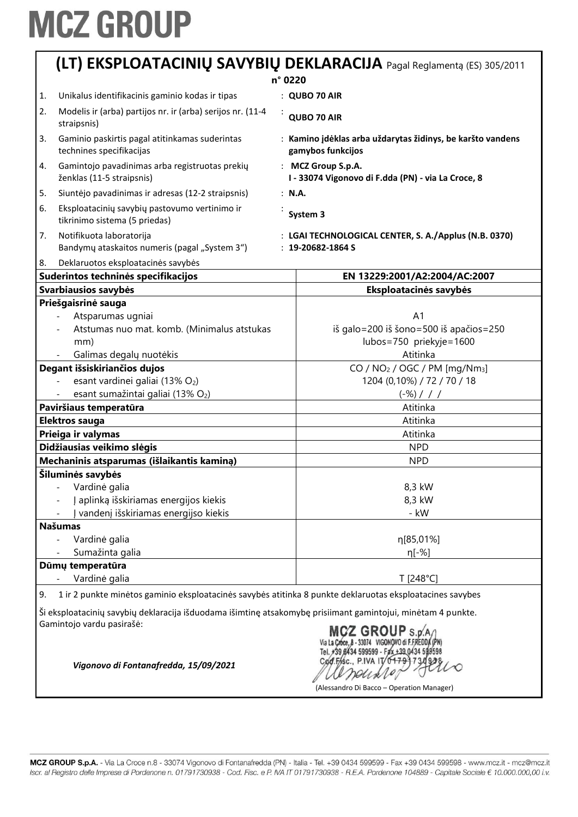|         |                                                                                                                                           |  | (LT) EKSPLOATACINIŲ SAVYBIŲ DEKLARACIJA Pagal Reglamentą (ES) 305/2011                          |
|---------|-------------------------------------------------------------------------------------------------------------------------------------------|--|-------------------------------------------------------------------------------------------------|
| n° 0220 |                                                                                                                                           |  |                                                                                                 |
| 1.      | Unikalus identifikacinis gaminio kodas ir tipas                                                                                           |  | : QUBO 70 AIR                                                                                   |
| 2.      | Modelis ir (arba) partijos nr. ir (arba) serijos nr. (11-4<br>straipsnis)                                                                 |  | QUBO 70 AIR                                                                                     |
| 3.      | Gaminio paskirtis pagal atitinkamas suderintas<br>technines specifikacijas                                                                |  | : Kamino įdėklas arba uždarytas židinys, be karšto vandens<br>gamybos funkcijos                 |
| 4.      | Gamintojo pavadinimas arba registruotas prekių<br>ženklas (11-5 straipsnis)                                                               |  | : MCZ Group S.p.A.<br>I - 33074 Vigonovo di F.dda (PN) - via La Croce, 8                        |
| 5.      | Siuntėjo pavadinimas ir adresas (12-2 straipsnis)                                                                                         |  | : N.A.                                                                                          |
| 6.      | Eksploatacinių savybių pastovumo vertinimo ir<br>tikrinimo sistema (5 priedas)                                                            |  | System 3                                                                                        |
| 7.      | Notifikuota laboratorija<br>Bandymy ataskaitos numeris (pagal "System 3")                                                                 |  | : LGAI TECHNOLOGICAL CENTER, S. A./Applus (N.B. 0370)<br>$: 19 - 20682 - 1864S$                 |
| 8.      | Deklaruotos eksploatacinės savybės                                                                                                        |  |                                                                                                 |
|         | Suderintos techninės specifikacijos                                                                                                       |  | EN 13229:2001/A2:2004/AC:2007                                                                   |
|         | Svarbiausios savybės                                                                                                                      |  | Eksploatacinės savybės                                                                          |
|         | Priešgaisrinė sauga<br>Atsparumas ugniai<br>Atstumas nuo mat. komb. (Minimalus atstukas<br>mm)<br>Galimas degalų nuotėkis                 |  | A <sub>1</sub><br>iš galo=200 iš šono=500 iš apačios=250<br>lubos=750 priekyje=1600<br>Atitinka |
|         | Degant išsiskiriančios dujos<br>esant vardinei galiai (13% O2)<br>esant sumažintai galiai (13% O2)                                        |  | $CO / NO2 / OGC / PM [mg/Nm3]$<br>1204 (0,10%) / 72 / 70 / 18<br>$(-\%) / / /$                  |
|         | Paviršiaus temperatūra                                                                                                                    |  | Atitinka                                                                                        |
|         | Elektros sauga                                                                                                                            |  | Atitinka                                                                                        |
|         | Prieiga ir valymas                                                                                                                        |  | Atitinka                                                                                        |
|         | Didžiausias veikimo slėgis                                                                                                                |  | <b>NPD</b>                                                                                      |
|         | Mechaninis atsparumas (išlaikantis kaminą)                                                                                                |  | <b>NPD</b>                                                                                      |
|         | Šiluminės savybės<br>Vardinė galia<br>aplinką išskiriamas energijos kiekis<br>vandenį išskiriamas energijso kiekis                        |  | 8,3 kW<br>8,3 kW<br>- kW                                                                        |
|         | <b>Našumas</b><br>Vardinė galia<br>Sumažinta galia                                                                                        |  | η[85,01%]<br>η[-%]                                                                              |
|         | Dūmų temperatūra                                                                                                                          |  |                                                                                                 |
|         | Vardinė galia                                                                                                                             |  | T [248°C]                                                                                       |
| 9.      | 1 ir 2 punkte minėtos gaminio eksploatacinės savybės atitinka 8 punkte deklaruotas eksploatacines savybes                                 |  |                                                                                                 |
|         | Ši eksploatacinių savybių deklaracija išduodama išimtinę atsakomybę prisiimant gamintojui, minėtam 4 punkte.<br>Gamintojo vardu pasirašė: |  | MCZ GROUP S.p.A/I                                                                               |

Via La Croce, 8 - 33074 VIGONOVO di FEREDDA (PN)<br>Tel. 739 8434 599599 - Fax +39 0434 599598<br>Cod. Fr. R. P. IVA IT 0+79 731928 arounder

(Alessandro Di Bacco – Operation Manager)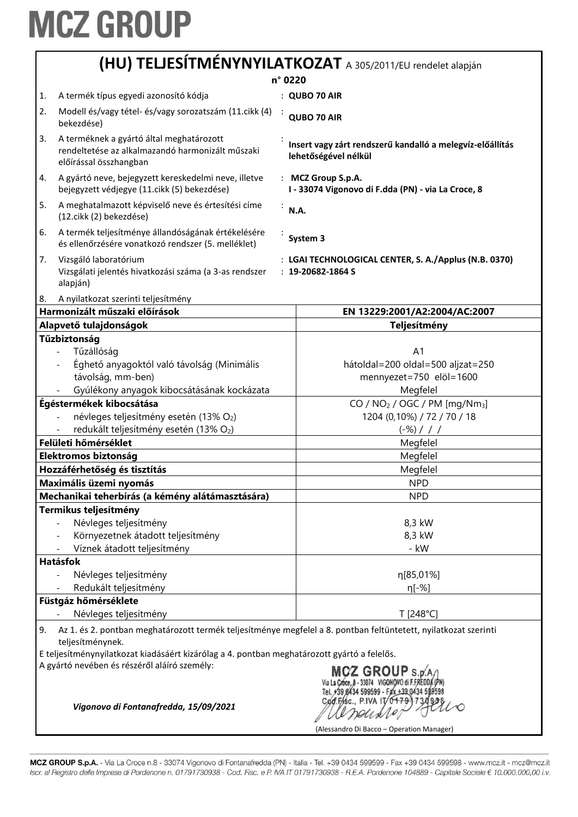|                                                                                                                                                                                                                                                                                                                |                                                                                                                        | n° 0220    |                                                                                   |
|----------------------------------------------------------------------------------------------------------------------------------------------------------------------------------------------------------------------------------------------------------------------------------------------------------------|------------------------------------------------------------------------------------------------------------------------|------------|-----------------------------------------------------------------------------------|
| 1.                                                                                                                                                                                                                                                                                                             | A termék típus egyedi azonosító kódja                                                                                  |            | : QUBO 70 AIR                                                                     |
| 2.                                                                                                                                                                                                                                                                                                             | Modell és/vagy tétel- és/vagy sorozatszám (11. cikk (4)<br>bekezdése)                                                  |            | QUBO 70 AIR                                                                       |
| 3.                                                                                                                                                                                                                                                                                                             | A terméknek a gyártó által meghatározott<br>rendeltetése az alkalmazandó harmonizált műszaki<br>előírással összhangban |            | Insert vagy zárt rendszerű kandalló a melegvíz-előállítás<br>lehetőségével nélkül |
| 4.                                                                                                                                                                                                                                                                                                             | A gyártó neve, bejegyzett kereskedelmi neve, illetve<br>bejegyzett védjegye (11. cikk (5) bekezdése)                   |            | : MCZ Group S.p.A.<br>I - 33074 Vigonovo di F.dda (PN) - via La Croce, 8          |
| 5.                                                                                                                                                                                                                                                                                                             | A meghatalmazott képviselő neve és értesítési címe<br>(12.cikk (2) bekezdése)                                          |            | N.A.                                                                              |
| 6.                                                                                                                                                                                                                                                                                                             | A termék teljesítménye állandóságának értékelésére<br>és ellenőrzésére vonatkozó rendszer (5. melléklet)               |            | System 3                                                                          |
| 7.                                                                                                                                                                                                                                                                                                             | Vizsgáló laboratórium<br>Vizsgálati jelentés hivatkozási száma (a 3-as rendszer<br>alapján)                            |            | : LGAI TECHNOLOGICAL CENTER, S. A./Applus (N.B. 0370)<br>$: 19 - 20682 - 1864S$   |
| 8.                                                                                                                                                                                                                                                                                                             | A nyilatkozat szerinti teljesítmény                                                                                    |            |                                                                                   |
|                                                                                                                                                                                                                                                                                                                | Harmonizált műszaki előírások                                                                                          |            | EN 13229:2001/A2:2004/AC:2007                                                     |
|                                                                                                                                                                                                                                                                                                                | Alapvető tulajdonságok<br>Tűzbiztonság                                                                                 |            | Teljesítmény                                                                      |
|                                                                                                                                                                                                                                                                                                                | Tűzállóság                                                                                                             |            | A <sub>1</sub>                                                                    |
|                                                                                                                                                                                                                                                                                                                | Éghető anyagoktól való távolság (Minimális                                                                             |            | hátoldal=200 oldal=500 aljzat=250                                                 |
|                                                                                                                                                                                                                                                                                                                | távolság, mm-ben)                                                                                                      |            | mennyezet=750 elöl=1600                                                           |
|                                                                                                                                                                                                                                                                                                                | Gyúlékony anyagok kibocsátásának kockázata                                                                             |            | Megfelel                                                                          |
| Égéstermékek kibocsátása                                                                                                                                                                                                                                                                                       |                                                                                                                        |            | CO / $NO2$ / OGC / PM [mg/Nm <sub>3</sub> ]                                       |
|                                                                                                                                                                                                                                                                                                                | névleges teljesítmény esetén (13% O2)                                                                                  |            | 1204 (0,10%) / 72 / 70 / 18                                                       |
|                                                                                                                                                                                                                                                                                                                | redukált teljesítmény esetén (13% O2)                                                                                  |            | $(-\%)$ / / /                                                                     |
| Felületi hőmérséklet                                                                                                                                                                                                                                                                                           |                                                                                                                        | Megfelel   |                                                                                   |
| Elektromos biztonság                                                                                                                                                                                                                                                                                           |                                                                                                                        | Megfelel   |                                                                                   |
| Hozzáférhetőség és tisztítás                                                                                                                                                                                                                                                                                   |                                                                                                                        | Megfelel   |                                                                                   |
| Maximális üzemi nyomás                                                                                                                                                                                                                                                                                         |                                                                                                                        | <b>NPD</b> |                                                                                   |
| Mechanikai teherbírás (a kémény alátámasztására)                                                                                                                                                                                                                                                               |                                                                                                                        | <b>NPD</b> |                                                                                   |
|                                                                                                                                                                                                                                                                                                                | Termikus teljesítmény                                                                                                  |            |                                                                                   |
|                                                                                                                                                                                                                                                                                                                | Névleges teljesítmény                                                                                                  |            | 8,3 kW                                                                            |
|                                                                                                                                                                                                                                                                                                                | Környezetnek átadott teljesítmény                                                                                      |            | 8,3 kW                                                                            |
|                                                                                                                                                                                                                                                                                                                | Víznek átadott teljesítmény                                                                                            |            | - kW                                                                              |
|                                                                                                                                                                                                                                                                                                                | <b>Hatásfok</b>                                                                                                        |            |                                                                                   |
|                                                                                                                                                                                                                                                                                                                | Névleges teljesítmény                                                                                                  |            | n[85,01%]                                                                         |
|                                                                                                                                                                                                                                                                                                                | Redukált teljesítmény                                                                                                  |            | η[-%]                                                                             |
|                                                                                                                                                                                                                                                                                                                | Füstgáz hőmérséklete                                                                                                   |            |                                                                                   |
|                                                                                                                                                                                                                                                                                                                | Névleges teljesítmény                                                                                                  |            | T [248°C]                                                                         |
| Az 1. és 2. pontban meghatározott termék teljesítménye megfelel a 8. pontban feltüntetett, nyilatkozat szerinti<br>l 9.<br>teljesítménynek.<br>E teljesítménynyilatkozat kiadásáért kizárólag a 4. pontban meghatározott gyártó a felelős.<br>A gyártó nevében és részéről aláíró személy:<br><b>MCZ GROUP</b> |                                                                                                                        |            |                                                                                   |
|                                                                                                                                                                                                                                                                                                                | Vigonovo di Fontanafredda, 15/09/2021                                                                                  |            | Cod.Fisc., P.IVA IT/04                                                            |

(Alessandro Di Bacco – Operation Manager)

MCZ GROUP S.p.A. - Via La Croce n.8 - 33074 Vigonovo di Fontanafredda (PN) - Italia - Tel. +39 0434 599599 - Fax +39 0434 599598 - www.mcz.it - mcz@mcz.it Iscr. al Registro delle Imprese di Pordenone n. 01791730938 - Cod. Fisc. e P. IVA IT 01791730938 - R.E.A. Pordenone 104889 - Capitale Sociale € 10.000.000,00 i.v.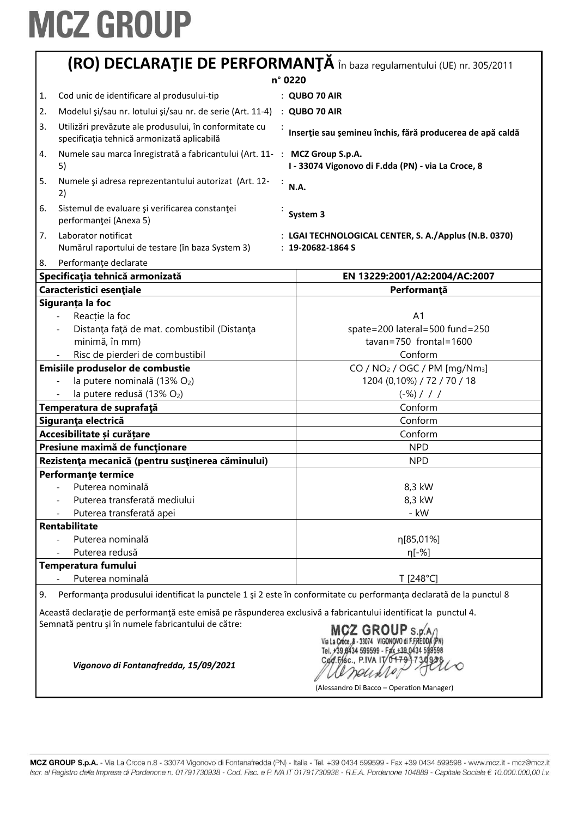| (RO) DECLARAȚIE DE PERFORMANȚĂ în baza regulamentului (UE) nr. 305/2011                                                                                          |                                                                                                                                                                        |                                                                                                                     |
|------------------------------------------------------------------------------------------------------------------------------------------------------------------|------------------------------------------------------------------------------------------------------------------------------------------------------------------------|---------------------------------------------------------------------------------------------------------------------|
|                                                                                                                                                                  |                                                                                                                                                                        | n° 0220                                                                                                             |
| 1.                                                                                                                                                               | Cod unic de identificare al produsului-tip                                                                                                                             | : QUBO 70 AIR                                                                                                       |
| 2.                                                                                                                                                               | Modelul şi/sau nr. lotului şi/sau nr. de serie (Art. 11-4)                                                                                                             | : QUBO 70 AIR                                                                                                       |
| 3.                                                                                                                                                               | Utilizări prevăzute ale produsului, în conformitate cu<br>specificația tehnică armonizată aplicabilă                                                                   | Inserție sau șemineu închis, fără producerea de apă caldă                                                           |
| 4.<br>5)                                                                                                                                                         | Numele sau marca înregistrată a fabricantului (Art. 11- : MCZ Group S.p.A.                                                                                             | I - 33074 Vigonovo di F.dda (PN) - via La Croce, 8                                                                  |
| 5.<br>2)                                                                                                                                                         | Numele și adresa reprezentantului autorizat (Art. 12-                                                                                                                  | N.A.                                                                                                                |
| 6.                                                                                                                                                               | Sistemul de evaluare și verificarea constanței<br>performanței (Anexa 5)                                                                                               | System 3                                                                                                            |
| Laborator notificat<br>7.<br>: LGAI TECHNOLOGICAL CENTER, S. A./Applus (N.B. 0370)<br>Numărul raportului de testare (în baza System 3)<br>$: 19 - 20682 - 1864S$ |                                                                                                                                                                        |                                                                                                                     |
| 8.                                                                                                                                                               | Performanțe declarate                                                                                                                                                  |                                                                                                                     |
|                                                                                                                                                                  | Specificația tehnică armonizată                                                                                                                                        | EN 13229:2001/A2:2004/AC:2007                                                                                       |
|                                                                                                                                                                  | Caracteristici esențiale                                                                                                                                               | Performanță                                                                                                         |
|                                                                                                                                                                  | Siguranța la foc                                                                                                                                                       |                                                                                                                     |
|                                                                                                                                                                  | Reacție la foc                                                                                                                                                         | A <sub>1</sub>                                                                                                      |
|                                                                                                                                                                  | Distanța față de mat. combustibil (Distanța                                                                                                                            | spate=200 lateral=500 fund=250                                                                                      |
|                                                                                                                                                                  | minimă, în mm)                                                                                                                                                         | $tavan = 750$ frontal = 1600                                                                                        |
|                                                                                                                                                                  | Risc de pierderi de combustibil                                                                                                                                        | Conform                                                                                                             |
|                                                                                                                                                                  | Emisiile produselor de combustie                                                                                                                                       | CO / $NO2$ / OGC / PM [mg/Nm <sub>3</sub> ]                                                                         |
|                                                                                                                                                                  | la putere nominală (13% O2)                                                                                                                                            | 1204 (0,10%) / 72 / 70 / 18                                                                                         |
|                                                                                                                                                                  | la putere redusă (13% O2)                                                                                                                                              | $(-\%)$ / / /                                                                                                       |
|                                                                                                                                                                  | Temperatura de suprafață                                                                                                                                               | Conform                                                                                                             |
|                                                                                                                                                                  | Siguranța electrică                                                                                                                                                    | Conform                                                                                                             |
|                                                                                                                                                                  | Accesibilitate și curățare                                                                                                                                             | Conform                                                                                                             |
|                                                                                                                                                                  | Presiune maximă de funcționare                                                                                                                                         | <b>NPD</b>                                                                                                          |
|                                                                                                                                                                  | Rezistența mecanică (pentru susținerea căminului)                                                                                                                      | <b>NPD</b>                                                                                                          |
|                                                                                                                                                                  | <b>Performante termice</b>                                                                                                                                             |                                                                                                                     |
|                                                                                                                                                                  | Puterea nominală                                                                                                                                                       | 8,3 kW                                                                                                              |
|                                                                                                                                                                  | Puterea transferată mediului                                                                                                                                           | 8,3 kW                                                                                                              |
|                                                                                                                                                                  | Puterea transferată apei                                                                                                                                               | - kW                                                                                                                |
|                                                                                                                                                                  | Rentabilitate                                                                                                                                                          |                                                                                                                     |
|                                                                                                                                                                  | Puterea nominală                                                                                                                                                       | η[85,01%]                                                                                                           |
|                                                                                                                                                                  | Puterea redusă                                                                                                                                                         | $n[-%]$                                                                                                             |
|                                                                                                                                                                  | Temperatura fumului                                                                                                                                                    |                                                                                                                     |
|                                                                                                                                                                  | Puterea nominală                                                                                                                                                       | T [248°C]                                                                                                           |
| 9.                                                                                                                                                               |                                                                                                                                                                        | Performanța produsului identificat la punctele 1 și 2 este în conformitate cu performanța declarată de la punctul 8 |
|                                                                                                                                                                  | Această declarație de performanță este emisă pe răspunderea exclusivă a fabricantului identificat la punctul 4.<br>Semnată pentru și în numele fabricantului de către: | $MCZ$ GROUP S.p.A/<br>Via La Croce, 8 - 33074 VIGONOVO di F.FREDDA (PN)                                             |

VIELE 1986, A - 33014 VIGORD 10 P. FREDERATED.<br>Cod. Fr. S.C., P. IVA IT 0 179 17 30 928

(Alessandro Di Bacco – Operation Manager)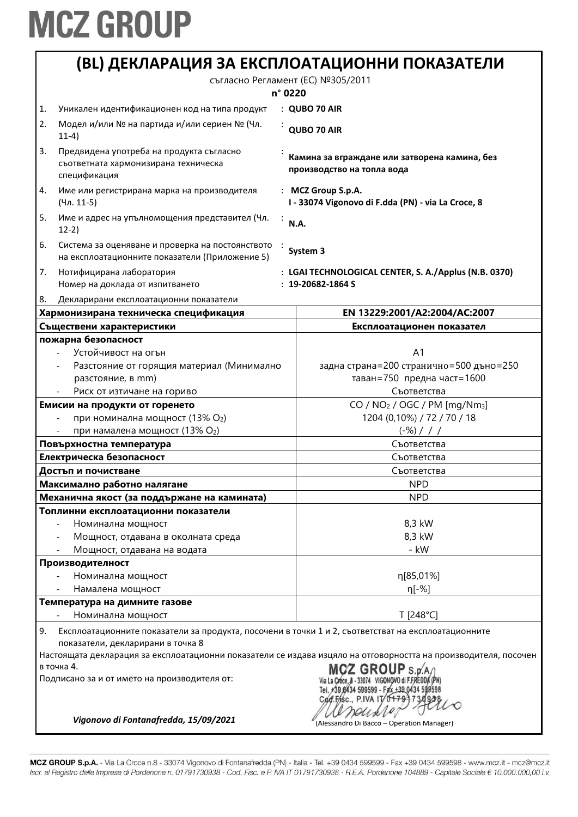|    |                                                                                                                                          | (BL) ДЕКЛАРАЦИЯ ЗА ЕКСПЛОАТАЦИОННИ ПОКАЗАТЕЛИ                                                                   |
|----|------------------------------------------------------------------------------------------------------------------------------------------|-----------------------------------------------------------------------------------------------------------------|
|    |                                                                                                                                          | съгласно Регламент (ЕС) №305/2011<br>n° 0220                                                                    |
| 1. | Уникален идентификационен код на типа продукт                                                                                            | : QUBO 70 AIR                                                                                                   |
| 2. | Модел и/или № на партида и/или сериен № (Чл.<br>$11-4)$                                                                                  | QUBO 70 AIR                                                                                                     |
| 3. | Предвидена употреба на продукта съгласно<br>съответната хармонизирана техническа<br>спецификация                                         | Камина за вграждане или затворена камина, без<br>производство на топла вода                                     |
| 4. | Име или регистрирана марка на производителя<br>(Чл. 11-5)                                                                                | : MCZ Group S.p.A.<br>I - 33074 Vigonovo di F.dda (PN) - via La Croce, 8                                        |
| 5. | Име и адрес на упълномощения представител (Чл.<br>$12-2)$                                                                                | N.A.                                                                                                            |
| 6. | Система за оценяване и проверка на постоянството<br>на експлоатационните показатели (Приложение 5)                                       | System 3                                                                                                        |
| 7. | Нотифицирана лаборатория<br>Номер на доклада от изпитването                                                                              | : LGAI TECHNOLOGICAL CENTER, S. A./Applus (N.B. 0370)<br>$: 19-20682-1864S$                                     |
| 8. | Декларирани експлоатационни показатели                                                                                                   |                                                                                                                 |
|    | Хармонизирана техническа спецификация                                                                                                    | EN 13229:2001/A2:2004/AC:2007                                                                                   |
|    | Съществени характеристики                                                                                                                | Експлоатационен показател                                                                                       |
|    | пожарна безопасност                                                                                                                      |                                                                                                                 |
|    | Устойчивост на огън                                                                                                                      | A <sub>1</sub><br>задна страна=200 странично=500 дъно=250                                                       |
|    | Разстояние от горящия материал (Минимално<br>разстояние, в mm)                                                                           | таван=750 предна част=1600                                                                                      |
|    | Риск от изтичане на гориво                                                                                                               | Съответства                                                                                                     |
|    | Емисии на продукти от горенето                                                                                                           | CO / NO <sub>2</sub> / OGC / PM [mg/Nm <sub>3</sub> ]                                                           |
|    | при номинална мощност (13% О2)                                                                                                           | 1204 (0,10%) / 72 / 70 / 18                                                                                     |
|    | при намалена мощност (13% О2)                                                                                                            | $(-\%)$ / / /                                                                                                   |
|    | Повърхностна температура                                                                                                                 | Съответства                                                                                                     |
|    | Електрическа безопасност                                                                                                                 | Съответства                                                                                                     |
|    | Достъп и почистване                                                                                                                      | Съответства                                                                                                     |
|    | Максимално работно налягане                                                                                                              | <b>NPD</b>                                                                                                      |
|    | Механична якост (за поддържане на камината)                                                                                              | <b>NPD</b>                                                                                                      |
|    | Топлинни експлоатационни показатели                                                                                                      |                                                                                                                 |
|    | Номинална мощност                                                                                                                        | 8,3 kW                                                                                                          |
|    | Мощност, отдавана в околната среда                                                                                                       | 8,3 kW                                                                                                          |
|    | Мощност, отдавана на водата                                                                                                              | - kW                                                                                                            |
|    | Производителност                                                                                                                         |                                                                                                                 |
|    | Номинална мощност                                                                                                                        | η[85,01%]                                                                                                       |
|    | Намалена мощност                                                                                                                         | η[-%]                                                                                                           |
|    | Температура на димните газове                                                                                                            |                                                                                                                 |
|    | Номинална мощност                                                                                                                        | T [248°C]                                                                                                       |
| 9. | Експлоатационните показатели за продукта, посочени в точки 1 и 2, съответстват на експлоатационните<br>показатели, декларирани в точка 8 |                                                                                                                 |
|    |                                                                                                                                          | Настоящата декларация за експлоатационни показатели се издава изцяло на отговорността на производителя, посочен |
|    | в точка 4.<br>Подписано за и от името на производителя от:<br>Vigonovo di Fontanafredda, 15/09/2021                                      | +39 8434 599599 - Fax +39 0434<br>Cod.Fisc., P.IVA IT                                                           |
|    |                                                                                                                                          | (Alessandro Di Bacco - Operation Manager)                                                                       |

MCZ GROUP S.p.A. - Via La Croce n.8 - 33074 Vigonovo di Fontanafredda (PN) - Italia - Tel. +39 0434 599599 - Fax +39 0434 599598 - www.mcz.it - mcz@mcz.it Iscr. al Registro delle Imprese di Pordenone n. 01791730938 - Cod. Fisc. e P. IVA IT 01791730938 - R.E.A. Pordenone 104889 - Capitale Sociale € 10.000.000,00 i.v.